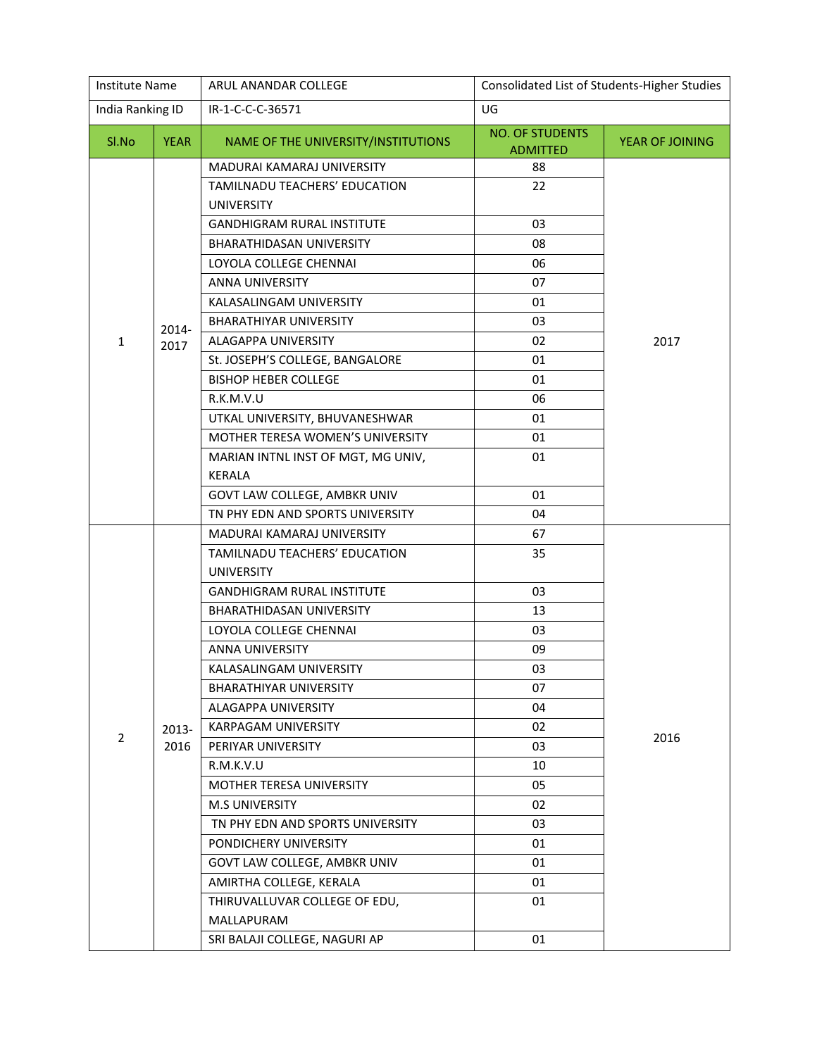| <b>Institute Name</b> |             | ARUL ANANDAR COLLEGE                | Consolidated List of Students-Higher Studies |                 |  |  |
|-----------------------|-------------|-------------------------------------|----------------------------------------------|-----------------|--|--|
| India Ranking ID      |             | IR-1-C-C-C-36571                    | UG                                           |                 |  |  |
| Sl.No                 | <b>YEAR</b> | NAME OF THE UNIVERSITY/INSTITUTIONS | <b>NO. OF STUDENTS</b><br><b>ADMITTED</b>    | YEAR OF JOINING |  |  |
|                       |             | MADURAI KAMARAJ UNIVERSITY          | 88                                           |                 |  |  |
|                       |             | TAMILNADU TEACHERS' EDUCATION       | 22                                           |                 |  |  |
|                       |             | <b>UNIVERSITY</b>                   |                                              |                 |  |  |
|                       |             | <b>GANDHIGRAM RURAL INSTITUTE</b>   | 03                                           |                 |  |  |
|                       |             | BHARATHIDASAN UNIVERSITY            | 08                                           |                 |  |  |
|                       |             | LOYOLA COLLEGE CHENNAI              | 06                                           |                 |  |  |
|                       |             | ANNA UNIVERSITY                     | 07                                           |                 |  |  |
|                       |             | KALASALINGAM UNIVERSITY             | 01                                           |                 |  |  |
|                       | 2014-       | <b>BHARATHIYAR UNIVERSITY</b>       | 03                                           |                 |  |  |
| $\mathbf{1}$          | 2017        | <b>ALAGAPPA UNIVERSITY</b>          | 02                                           | 2017            |  |  |
|                       |             | St. JOSEPH'S COLLEGE, BANGALORE     | 01                                           |                 |  |  |
|                       |             | <b>BISHOP HEBER COLLEGE</b>         | 01                                           |                 |  |  |
|                       |             | R.K.M.V.U                           | 06                                           |                 |  |  |
|                       |             | UTKAL UNIVERSITY, BHUVANESHWAR      | 01                                           |                 |  |  |
|                       |             | MOTHER TERESA WOMEN'S UNIVERSITY    | 01                                           |                 |  |  |
|                       |             | MARIAN INTNL INST OF MGT, MG UNIV,  | 01                                           |                 |  |  |
|                       |             | <b>KERALA</b>                       |                                              |                 |  |  |
|                       |             | GOVT LAW COLLEGE, AMBKR UNIV        | 01                                           |                 |  |  |
|                       |             | TN PHY EDN AND SPORTS UNIVERSITY    | 04                                           |                 |  |  |
|                       |             | MADURAI KAMARAJ UNIVERSITY          | 67                                           |                 |  |  |
|                       |             | TAMILNADU TEACHERS' EDUCATION       | 35                                           |                 |  |  |
|                       |             | <b>UNIVERSITY</b>                   |                                              |                 |  |  |
|                       |             | <b>GANDHIGRAM RURAL INSTITUTE</b>   | 03                                           |                 |  |  |
|                       |             | <b>BHARATHIDASAN UNIVERSITY</b>     | 13                                           |                 |  |  |
|                       |             | LOYOLA COLLEGE CHENNAI              | 03                                           |                 |  |  |
|                       |             | <b>ANNA UNIVERSITY</b>              | 09                                           |                 |  |  |
|                       |             | KALASALINGAM UNIVERSITY             | 03                                           |                 |  |  |
|                       |             | <b>BHARATHIYAR UNIVERSITY</b>       | 07                                           |                 |  |  |
|                       |             | ALAGAPPA UNIVERSITY                 | 04                                           |                 |  |  |
| $\overline{2}$        | 2013-       | <b>KARPAGAM UNIVERSITY</b>          | 02                                           | 2016            |  |  |
|                       | 2016        | PERIYAR UNIVERSITY                  | 03                                           |                 |  |  |
|                       |             | R.M.K.V.U                           | 10                                           |                 |  |  |
|                       |             | MOTHER TERESA UNIVERSITY            | 05                                           |                 |  |  |
|                       |             | <b>M.S UNIVERSITY</b>               | 02                                           |                 |  |  |
|                       |             | TN PHY EDN AND SPORTS UNIVERSITY    | 03                                           |                 |  |  |
|                       |             | PONDICHERY UNIVERSITY               | 01                                           |                 |  |  |
|                       |             | GOVT LAW COLLEGE, AMBKR UNIV        | 01                                           |                 |  |  |
|                       |             | AMIRTHA COLLEGE, KERALA             | 01                                           |                 |  |  |
|                       |             | THIRUVALLUVAR COLLEGE OF EDU,       | 01                                           |                 |  |  |
|                       |             | MALLAPURAM                          |                                              |                 |  |  |
|                       |             | SRI BALAJI COLLEGE, NAGURI AP       | 01                                           |                 |  |  |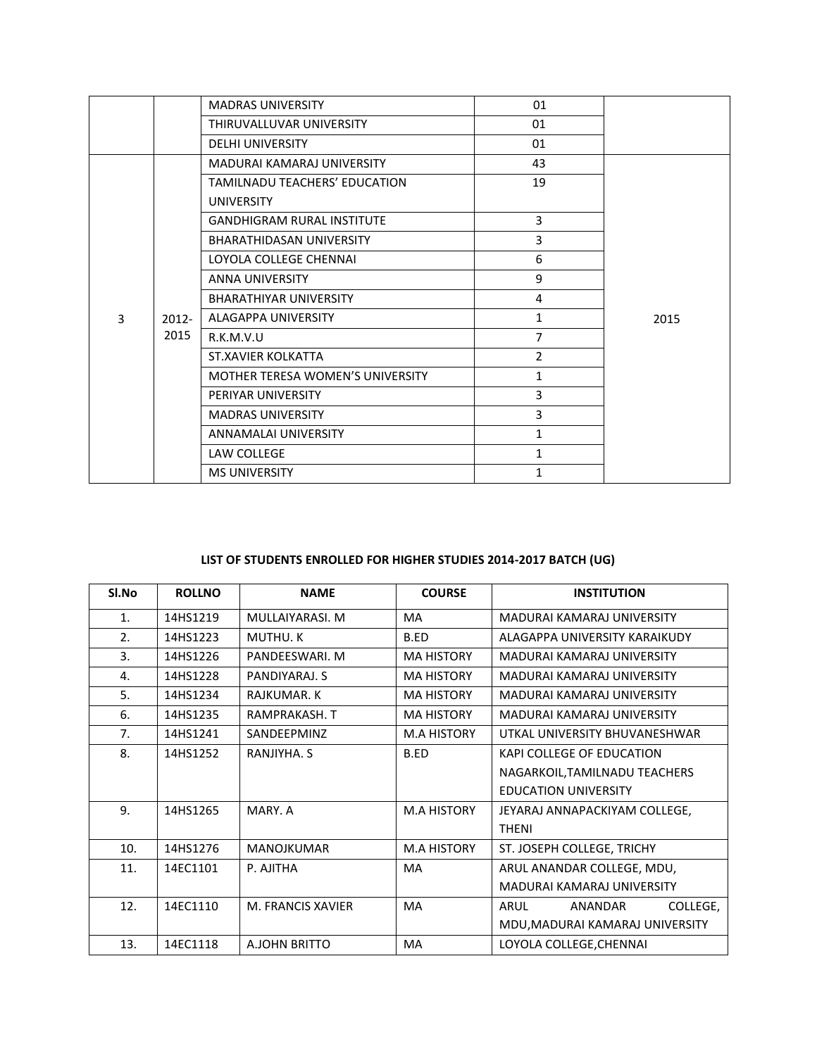|   |          | <b>MADRAS UNIVERSITY</b>                | 01             |      |
|---|----------|-----------------------------------------|----------------|------|
|   |          | THIRUVALLUVAR UNIVERSITY                | 01             |      |
|   |          | <b>DELHI UNIVERSITY</b>                 | 01             |      |
|   |          | MADURAI KAMARAJ UNIVERSITY              | 43             |      |
|   |          | TAMILNADU TEACHERS' EDUCATION           | 19             |      |
|   |          | <b>UNIVERSITY</b>                       |                |      |
|   |          | <b>GANDHIGRAM RURAL INSTITUTE</b>       | 3              |      |
|   |          | <b>BHARATHIDASAN UNIVERSITY</b>         | 3              |      |
|   |          | LOYOLA COLLEGE CHENNAI                  | 6              |      |
|   |          | <b>ANNA UNIVERSITY</b>                  | 9              |      |
|   |          | <b>BHARATHIYAR UNIVERSITY</b>           | 4              |      |
| 3 | $2012 -$ | ALAGAPPA UNIVERSITY                     | $\mathbf{1}$   | 2015 |
|   | 2015     | R.K.M.V.U                               | $\overline{7}$ |      |
|   |          | ST.XAVIER KOLKATTA                      | 2              |      |
|   |          | <b>MOTHER TERESA WOMEN'S UNIVERSITY</b> | $\mathbf{1}$   |      |
|   |          | PERIYAR UNIVERSITY                      | 3              |      |
|   |          | <b>MADRAS UNIVERSITY</b>                | $\overline{3}$ |      |
|   |          | ANNAMALAI UNIVERSITY                    | $\mathbf{1}$   |      |
|   |          | LAW COLLEGE                             | $\mathbf{1}$   |      |
|   |          | <b>MS UNIVERSITY</b>                    | 1              |      |

# **LIST OF STUDENTS ENROLLED FOR HIGHER STUDIES 2014-2017 BATCH (UG)**

| Sl.No | <b>ROLLNO</b> | <b>NAME</b>       | <b>COURSE</b>      | <b>INSTITUTION</b>              |
|-------|---------------|-------------------|--------------------|---------------------------------|
| 1.    | 14HS1219      | MULLAIYARASI, M   | MA                 | MADURAI KAMARAJ UNIVERSITY      |
| 2.    | 14HS1223      | MUTHU. K          | B.ED               | ALAGAPPA UNIVERSITY KARAIKUDY   |
| 3.    | 14HS1226      | PANDEESWARI, M    | <b>MA HISTORY</b>  | MADURAI KAMARAJ UNIVERSITY      |
| 4.    | 14HS1228      | PANDIYARAJ, S     | <b>MA HISTORY</b>  | MADURAI KAMARAJ UNIVERSITY      |
| 5.    | 14HS1234      | RAJKUMAR, K       | <b>MA HISTORY</b>  | MADURAI KAMARAJ UNIVERSITY      |
| 6.    | 14HS1235      | RAMPRAKASH. T     | <b>MA HISTORY</b>  | MADURAI KAMARAJ UNIVERSITY      |
| 7.    | 14HS1241      | SANDEEPMINZ       | M.A HISTORY        | UTKAL UNIVERSITY BHUVANESHWAR   |
| 8.    | 14HS1252      | RANJIYHA. S       | B.ED               | KAPI COLLEGE OF EDUCATION       |
|       |               |                   |                    | NAGARKOIL, TAMILNADU TEACHERS   |
|       |               |                   |                    | <b>EDUCATION UNIVERSITY</b>     |
| 9.    | 14HS1265      | MARY, A           | <b>M.A HISTORY</b> | JEYARAJ ANNAPACKIYAM COLLEGE,   |
|       |               |                   |                    | <b>THENI</b>                    |
| 10.   | 14HS1276      | <b>MANOJKUMAR</b> | <b>M.A HISTORY</b> | ST. JOSEPH COLLEGE, TRICHY      |
| 11.   | 14EC1101      | P. AIITHA         | MA                 | ARUL ANANDAR COLLEGE, MDU,      |
|       |               |                   |                    | MADURAI KAMARAJ UNIVERSITY      |
| 12.   | 14EC1110      | M. FRANCIS XAVIER | MA                 | ANANDAR<br>ARUL<br>COLLEGE,     |
|       |               |                   |                    | MDU, MADURAI KAMARAJ UNIVERSITY |
| 13.   | 14EC1118      | A.JOHN BRITTO     | MA                 | LOYOLA COLLEGE, CHENNAI         |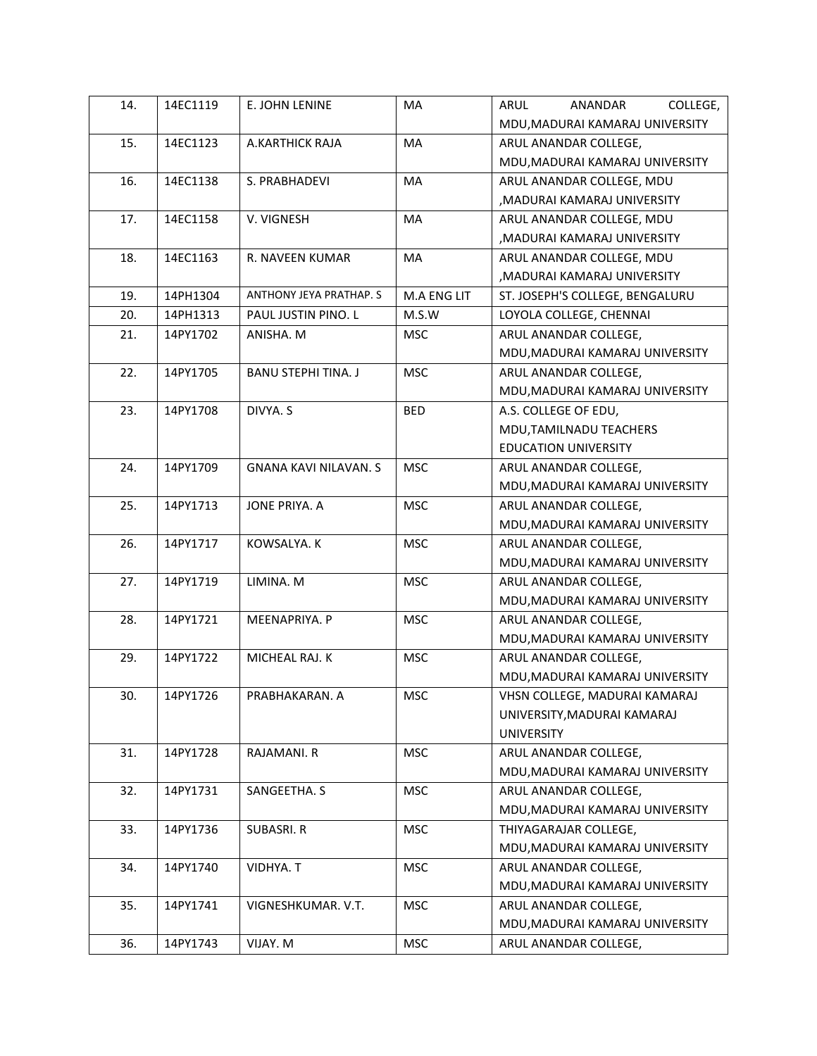| 14. | 14EC1119 | E. JOHN LENINE               | MA          | <b>ARUL</b><br><b>ANANDAR</b><br>COLLEGE, |
|-----|----------|------------------------------|-------------|-------------------------------------------|
|     |          |                              |             | MDU, MADURAI KAMARAJ UNIVERSITY           |
| 15. | 14EC1123 | A.KARTHICK RAJA              | MA          | ARUL ANANDAR COLLEGE,                     |
|     |          |                              |             | MDU, MADURAI KAMARAJ UNIVERSITY           |
| 16. | 14EC1138 | S. PRABHADEVI                | MA          | ARUL ANANDAR COLLEGE, MDU                 |
|     |          |                              |             | , MADURAI KAMARAJ UNIVERSITY              |
| 17. | 14EC1158 | V. VIGNESH                   | MA          | ARUL ANANDAR COLLEGE, MDU                 |
|     |          |                              |             | , MADURAI KAMARAJ UNIVERSITY              |
| 18. | 14EC1163 | R. NAVEEN KUMAR              | <b>MA</b>   | ARUL ANANDAR COLLEGE, MDU                 |
|     |          |                              |             | , MADURAI KAMARAJ UNIVERSITY              |
| 19. | 14PH1304 | ANTHONY JEYA PRATHAP. S      | M.A ENG LIT | ST. JOSEPH'S COLLEGE, BENGALURU           |
| 20. | 14PH1313 | PAUL JUSTIN PINO. L          | M.S.W       | LOYOLA COLLEGE, CHENNAI                   |
| 21. | 14PY1702 | ANISHA. M                    | <b>MSC</b>  | ARUL ANANDAR COLLEGE,                     |
|     |          |                              |             | MDU, MADURAI KAMARAJ UNIVERSITY           |
| 22. | 14PY1705 | <b>BANU STEPHI TINA. J</b>   | <b>MSC</b>  | ARUL ANANDAR COLLEGE,                     |
|     |          |                              |             | MDU, MADURAI KAMARAJ UNIVERSITY           |
| 23. | 14PY1708 | DIVYA. S                     | <b>BED</b>  | A.S. COLLEGE OF EDU,                      |
|     |          |                              |             | MDU, TAMILNADU TEACHERS                   |
|     |          |                              |             | <b>EDUCATION UNIVERSITY</b>               |
| 24. | 14PY1709 | <b>GNANA KAVI NILAVAN, S</b> | <b>MSC</b>  | ARUL ANANDAR COLLEGE,                     |
|     |          |                              |             | MDU, MADURAI KAMARAJ UNIVERSITY           |
| 25. | 14PY1713 | JONE PRIYA. A                | <b>MSC</b>  | ARUL ANANDAR COLLEGE,                     |
|     |          |                              |             | MDU, MADURAI KAMARAJ UNIVERSITY           |
| 26. | 14PY1717 | KOWSALYA. K                  | <b>MSC</b>  | ARUL ANANDAR COLLEGE,                     |
|     |          |                              |             | MDU, MADURAI KAMARAJ UNIVERSITY           |
| 27. | 14PY1719 | LIMINA. M                    | <b>MSC</b>  | ARUL ANANDAR COLLEGE,                     |
|     |          |                              |             | MDU, MADURAI KAMARAJ UNIVERSITY           |
| 28. | 14PY1721 | MEENAPRIYA. P                | <b>MSC</b>  | ARUL ANANDAR COLLEGE,                     |
|     |          |                              |             | MDU, MADURAI KAMARAJ UNIVERSITY           |
| 29. | 14PY1722 | MICHEAL RAJ. K               | <b>MSC</b>  | ARUL ANANDAR COLLEGE,                     |
|     |          |                              |             | MDU, MADURAI KAMARAJ UNIVERSITY           |
| 30. | 14PY1726 | PRABHAKARAN. A               | <b>MSC</b>  | VHSN COLLEGE, MADURAI KAMARAJ             |
|     |          |                              |             | UNIVERSITY, MADURAI KAMARAJ               |
|     |          |                              |             | <b>UNIVERSITY</b>                         |
| 31. | 14PY1728 | RAJAMANI. R                  | <b>MSC</b>  | ARUL ANANDAR COLLEGE,                     |
|     |          |                              |             | MDU, MADURAI KAMARAJ UNIVERSITY           |
| 32. | 14PY1731 | SANGEETHA. S                 | <b>MSC</b>  | ARUL ANANDAR COLLEGE,                     |
|     |          |                              |             | MDU, MADURAI KAMARAJ UNIVERSITY           |
| 33. | 14PY1736 | SUBASRI. R                   | <b>MSC</b>  | THIYAGARAJAR COLLEGE,                     |
|     |          |                              |             | MDU, MADURAI KAMARAJ UNIVERSITY           |
| 34. | 14PY1740 | VIDHYA. T                    | <b>MSC</b>  | ARUL ANANDAR COLLEGE,                     |
|     |          |                              |             | MDU, MADURAI KAMARAJ UNIVERSITY           |
| 35. | 14PY1741 | VIGNESHKUMAR. V.T.           | <b>MSC</b>  | ARUL ANANDAR COLLEGE,                     |
|     |          |                              |             | MDU, MADURAI KAMARAJ UNIVERSITY           |
| 36. | 14PY1743 | VIJAY. M                     | <b>MSC</b>  | ARUL ANANDAR COLLEGE,                     |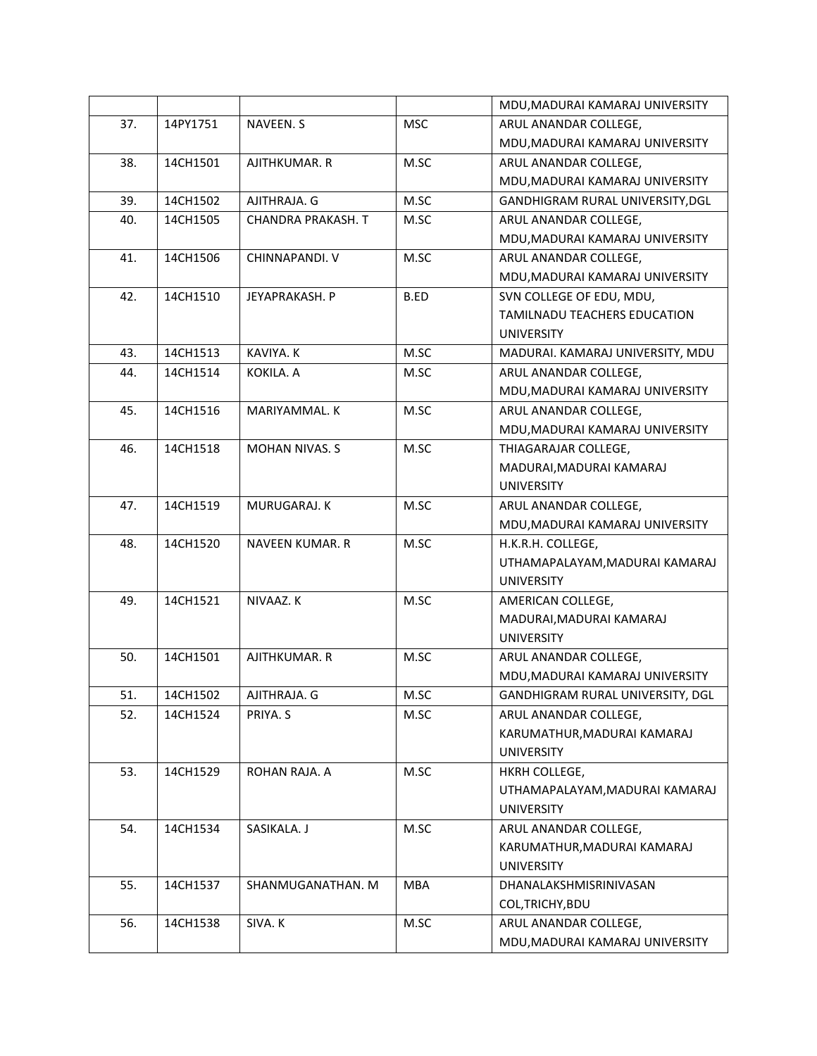|     |          |                        |            | MDU, MADURAI KAMARAJ UNIVERSITY  |
|-----|----------|------------------------|------------|----------------------------------|
| 37. | 14PY1751 | NAVEEN. S              | <b>MSC</b> | ARUL ANANDAR COLLEGE,            |
|     |          |                        |            | MDU, MADURAI KAMARAJ UNIVERSITY  |
| 38. | 14CH1501 | AJITHKUMAR. R          | M.SC       | ARUL ANANDAR COLLEGE,            |
|     |          |                        |            | MDU, MADURAI KAMARAJ UNIVERSITY  |
| 39. | 14CH1502 | AJITHRAJA. G           | M.SC       | GANDHIGRAM RURAL UNIVERSITY, DGL |
| 40. | 14CH1505 | CHANDRA PRAKASH. T     | M.SC       | ARUL ANANDAR COLLEGE,            |
|     |          |                        |            | MDU, MADURAI KAMARAJ UNIVERSITY  |
| 41. | 14CH1506 | CHINNAPANDI, V         | M.SC       | ARUL ANANDAR COLLEGE,            |
|     |          |                        |            | MDU, MADURAI KAMARAJ UNIVERSITY  |
| 42. | 14CH1510 | JEYAPRAKASH. P         | B.ED       | SVN COLLEGE OF EDU, MDU,         |
|     |          |                        |            | TAMILNADU TEACHERS EDUCATION     |
|     |          |                        |            | <b>UNIVERSITY</b>                |
| 43. | 14CH1513 | KAVIYA. K              | M.SC       | MADURAI. KAMARAJ UNIVERSITY, MDU |
| 44. | 14CH1514 | KOKILA. A              | M.SC       | ARUL ANANDAR COLLEGE,            |
|     |          |                        |            | MDU, MADURAI KAMARAJ UNIVERSITY  |
| 45. | 14CH1516 | MARIYAMMAL, K          | M.SC       | ARUL ANANDAR COLLEGE,            |
|     |          |                        |            | MDU, MADURAI KAMARAJ UNIVERSITY  |
| 46. | 14CH1518 | <b>MOHAN NIVAS, S</b>  | M.SC       | THIAGARAJAR COLLEGE,             |
|     |          |                        |            | MADURAI, MADURAI KAMARAJ         |
|     |          |                        |            | <b>UNIVERSITY</b>                |
| 47. | 14CH1519 | MURUGARAJ. K           | M.SC       | ARUL ANANDAR COLLEGE,            |
|     |          |                        |            | MDU, MADURAI KAMARAJ UNIVERSITY  |
| 48. | 14CH1520 | <b>NAVEEN KUMAR, R</b> | M.SC       | H.K.R.H. COLLEGE,                |
|     |          |                        |            | UTHAMAPALAYAM, MADURAI KAMARAJ   |
|     |          |                        |            | <b>UNIVERSITY</b>                |
| 49. | 14CH1521 | NIVAAZ. K              | M.SC       | AMERICAN COLLEGE,                |
|     |          |                        |            | MADURAI, MADURAI KAMARAJ         |
|     |          |                        |            | <b>UNIVERSITY</b>                |
| 50. | 14CH1501 | AJITHKUMAR. R          | M.SC       | ARUL ANANDAR COLLEGE,            |
|     |          |                        |            | MDU, MADURAI KAMARAJ UNIVERSITY  |
| 51. | 14CH1502 | AJITHRAJA. G           | M.SC       | GANDHIGRAM RURAL UNIVERSITY, DGL |
| 52. | 14CH1524 | PRIYA. S               | M.SC       | ARUL ANANDAR COLLEGE,            |
|     |          |                        |            | KARUMATHUR, MADURAI KAMARAJ      |
|     |          |                        |            | UNIVERSITY                       |
| 53. | 14CH1529 | ROHAN RAJA. A          | M.SC       | HKRH COLLEGE,                    |
|     |          |                        |            | UTHAMAPALAYAM, MADURAI KAMARAJ   |
|     |          |                        |            | <b>UNIVERSITY</b>                |
| 54. | 14CH1534 | SASIKALA. J            | M.SC       | ARUL ANANDAR COLLEGE,            |
|     |          |                        |            | KARUMATHUR, MADURAI KAMARAJ      |
|     |          |                        |            | <b>UNIVERSITY</b>                |
| 55. | 14CH1537 | SHANMUGANATHAN. M      | <b>MBA</b> | DHANALAKSHMISRINIVASAN           |
|     |          |                        |            | COL, TRICHY, BDU                 |
| 56. | 14CH1538 | SIVA.K                 | M.SC       | ARUL ANANDAR COLLEGE,            |
|     |          |                        |            | MDU, MADURAI KAMARAJ UNIVERSITY  |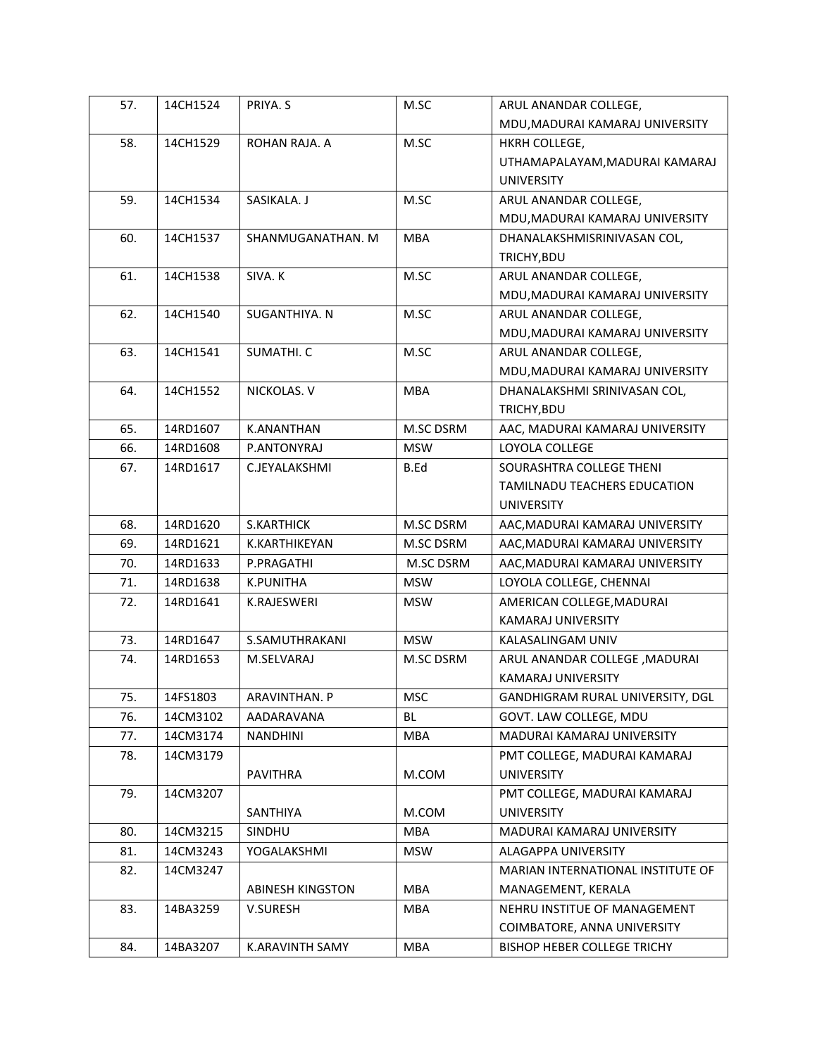| 57. | 14CH1524 | PRIYA. S                | M.SC       | ARUL ANANDAR COLLEGE,             |
|-----|----------|-------------------------|------------|-----------------------------------|
|     |          |                         |            | MDU, MADURAI KAMARAJ UNIVERSITY   |
| 58. | 14CH1529 | ROHAN RAJA, A           | M.SC       | HKRH COLLEGE,                     |
|     |          |                         |            | UTHAMAPALAYAM, MADURAI KAMARAJ    |
|     |          |                         |            | <b>UNIVERSITY</b>                 |
| 59. | 14CH1534 | SASIKALA. J             | M.SC       | ARUL ANANDAR COLLEGE,             |
|     |          |                         |            | MDU, MADURAI KAMARAJ UNIVERSITY   |
| 60. | 14CH1537 | SHANMUGANATHAN, M       | <b>MBA</b> | DHANALAKSHMISRINIVASAN COL,       |
|     |          |                         |            | TRICHY, BDU                       |
| 61. | 14CH1538 | SIVA.K                  | M.SC       | ARUL ANANDAR COLLEGE,             |
|     |          |                         |            | MDU, MADURAI KAMARAJ UNIVERSITY   |
| 62. | 14CH1540 | SUGANTHIYA. N           | M.SC       | ARUL ANANDAR COLLEGE,             |
|     |          |                         |            | MDU, MADURAI KAMARAJ UNIVERSITY   |
| 63. | 14CH1541 | SUMATHI. C              | M.SC       | ARUL ANANDAR COLLEGE,             |
|     |          |                         |            | MDU, MADURAI KAMARAJ UNIVERSITY   |
| 64. | 14CH1552 | NICKOLAS. V             | <b>MBA</b> | DHANALAKSHMI SRINIVASAN COL,      |
|     |          |                         |            | TRICHY, BDU                       |
| 65. | 14RD1607 | <b>K.ANANTHAN</b>       | M.SC DSRM  | AAC, MADURAI KAMARAJ UNIVERSITY   |
| 66. | 14RD1608 | P.ANTONYRAJ             | <b>MSW</b> | LOYOLA COLLEGE                    |
| 67. | 14RD1617 | C.JEYALAKSHMI           | B.Ed       | SOURASHTRA COLLEGE THENI          |
|     |          |                         |            | TAMILNADU TEACHERS EDUCATION      |
|     |          |                         |            | <b>UNIVERSITY</b>                 |
| 68. | 14RD1620 | <b>S.KARTHICK</b>       | M.SC DSRM  | AAC, MADURAI KAMARAJ UNIVERSITY   |
| 69. | 14RD1621 | K.KARTHIKEYAN           | M.SC DSRM  | AAC, MADURAI KAMARAJ UNIVERSITY   |
| 70. | 14RD1633 | P.PRAGATHI              | M.SC DSRM  | AAC, MADURAI KAMARAJ UNIVERSITY   |
| 71. | 14RD1638 | <b>K.PUNITHA</b>        | <b>MSW</b> | LOYOLA COLLEGE, CHENNAI           |
| 72. | 14RD1641 | K.RAJESWERI             | <b>MSW</b> | AMERICAN COLLEGE, MADURAI         |
|     |          |                         |            | KAMARAJ UNIVERSITY                |
| 73. | 14RD1647 | S.SAMUTHRAKANI          | <b>MSW</b> | KALASALINGAM UNIV                 |
| 74. | 14RD1653 | M.SELVARAJ              | M.SC DSRM  | ARUL ANANDAR COLLEGE , MADURAI    |
|     |          |                         |            | KAMARAJ UNIVERSITY                |
| 75. | 14FS1803 | ARAVINTHAN. P           | MSC        | GANDHIGRAM RURAL UNIVERSITY, DGL  |
| 76. | 14CM3102 | AADARAVANA              | BL.        | GOVT. LAW COLLEGE, MDU            |
| 77. | 14CM3174 | <b>NANDHINI</b>         | MBA        | MADURAI KAMARAJ UNIVERSITY        |
| 78. | 14CM3179 |                         |            | PMT COLLEGE, MADURAI KAMARAJ      |
|     |          | PAVITHRA                | M.COM      | <b>UNIVERSITY</b>                 |
| 79. | 14CM3207 |                         |            | PMT COLLEGE, MADURAI KAMARAJ      |
|     |          | SANTHIYA                | M.COM      | <b>UNIVERSITY</b>                 |
| 80. | 14CM3215 | <b>SINDHU</b>           | MBA        | MADURAI KAMARAJ UNIVERSITY        |
| 81. | 14CM3243 | YOGALAKSHMI             | <b>MSW</b> | ALAGAPPA UNIVERSITY               |
| 82. | 14CM3247 |                         |            | MARIAN INTERNATIONAL INSTITUTE OF |
|     |          | <b>ABINESH KINGSTON</b> | MBA        | MANAGEMENT, KERALA                |
| 83. | 14BA3259 | V.SURESH                | MBA        | NEHRU INSTITUE OF MANAGEMENT      |
|     |          |                         |            | COIMBATORE, ANNA UNIVERSITY       |
| 84. | 14BA3207 | K.ARAVINTH SAMY         | MBA        | BISHOP HEBER COLLEGE TRICHY       |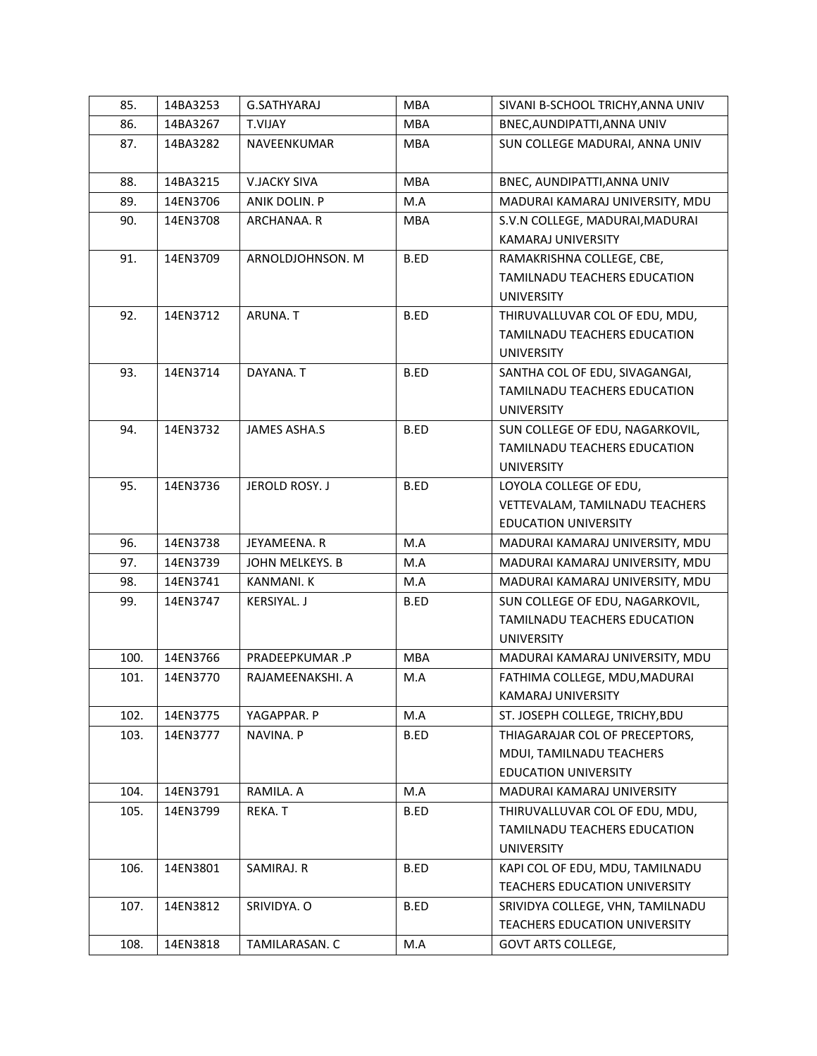| 85.  | 14BA3253 | G.SATHYARAJ         | <b>MBA</b> | SIVANI B-SCHOOL TRICHY, ANNA UNIV |
|------|----------|---------------------|------------|-----------------------------------|
| 86.  | 14BA3267 | <b>T.VIJAY</b>      | <b>MBA</b> | BNEC, AUNDIPATTI, ANNA UNIV       |
| 87.  | 14BA3282 | NAVEENKUMAR         | <b>MBA</b> | SUN COLLEGE MADURAI, ANNA UNIV    |
| 88.  | 14BA3215 | <b>V.JACKY SIVA</b> | <b>MBA</b> | BNEC, AUNDIPATTI, ANNA UNIV       |
| 89.  | 14EN3706 | ANIK DOLIN. P       | M.A        | MADURAI KAMARAJ UNIVERSITY, MDU   |
| 90.  | 14EN3708 | ARCHANAA. R         | MBA        | S.V.N COLLEGE, MADURAI, MADURAI   |
|      |          |                     |            | KAMARAJ UNIVERSITY                |
| 91.  | 14EN3709 | ARNOLDJOHNSON. M    | B.ED       | RAMAKRISHNA COLLEGE, CBE,         |
|      |          |                     |            | TAMILNADU TEACHERS EDUCATION      |
|      |          |                     |            | <b>UNIVERSITY</b>                 |
| 92.  | 14EN3712 | ARUNA. T            | B.ED       | THIRUVALLUVAR COL OF EDU, MDU,    |
|      |          |                     |            | TAMILNADU TEACHERS EDUCATION      |
|      |          |                     |            | <b>UNIVERSITY</b>                 |
| 93.  | 14EN3714 | DAYANA. T           | B.ED       | SANTHA COL OF EDU, SIVAGANGAI,    |
|      |          |                     |            | TAMILNADU TEACHERS EDUCATION      |
|      |          |                     |            | <b>UNIVERSITY</b>                 |
| 94.  | 14EN3732 | <b>JAMES ASHA.S</b> | B.ED       | SUN COLLEGE OF EDU, NAGARKOVIL,   |
|      |          |                     |            | TAMILNADU TEACHERS EDUCATION      |
|      |          |                     |            | <b>UNIVERSITY</b>                 |
| 95.  | 14EN3736 | JEROLD ROSY. J      | B.ED       | LOYOLA COLLEGE OF EDU,            |
|      |          |                     |            | VETTEVALAM, TAMILNADU TEACHERS    |
|      |          |                     |            | <b>EDUCATION UNIVERSITY</b>       |
| 96.  | 14EN3738 | JEYAMEENA. R        | M.A        | MADURAI KAMARAJ UNIVERSITY, MDU   |
| 97.  | 14EN3739 | JOHN MELKEYS. B     | M.A        | MADURAI KAMARAJ UNIVERSITY, MDU   |
| 98.  | 14EN3741 | <b>KANMANI. K</b>   | M.A        | MADURAI KAMARAJ UNIVERSITY, MDU   |
| 99.  | 14EN3747 | KERSIYAL. J         | B.ED       | SUN COLLEGE OF EDU, NAGARKOVIL,   |
|      |          |                     |            | TAMILNADU TEACHERS EDUCATION      |
|      |          |                     |            | <b>UNIVERSITY</b>                 |
| 100. | 14EN3766 | PRADEEPKUMAR.P      | <b>MBA</b> | MADURAI KAMARAJ UNIVERSITY, MDU   |
| 101. | 14EN3770 | RAJAMEENAKSHI. A    | M.A        | FATHIMA COLLEGE, MDU, MADURAI     |
|      |          |                     |            | KAMARAJ UNIVERSITY                |
| 102. | 14EN3775 | YAGAPPAR. P         | M.A        | ST. JOSEPH COLLEGE, TRICHY, BDU   |
| 103. | 14EN3777 | NAVINA. P           | B.ED       | THIAGARAJAR COL OF PRECEPTORS,    |
|      |          |                     |            | MDUI, TAMILNADU TEACHERS          |
|      |          |                     |            | <b>EDUCATION UNIVERSITY</b>       |
| 104. | 14EN3791 | RAMILA. A           | M.A        | MADURAI KAMARAJ UNIVERSITY        |
| 105. | 14EN3799 | REKA. T             | B.ED       | THIRUVALLUVAR COL OF EDU, MDU,    |
|      |          |                     |            | TAMILNADU TEACHERS EDUCATION      |
|      |          |                     |            | <b>UNIVERSITY</b>                 |
| 106. | 14EN3801 | SAMIRAJ. R          | B.ED       | KAPI COL OF EDU, MDU, TAMILNADU   |
|      |          |                     |            | TEACHERS EDUCATION UNIVERSITY     |
| 107. | 14EN3812 | SRIVIDYA. O         | B.ED       | SRIVIDYA COLLEGE, VHN, TAMILNADU  |
|      |          |                     |            | TEACHERS EDUCATION UNIVERSITY     |
| 108. | 14EN3818 | TAMILARASAN. C      | M.A        | <b>GOVT ARTS COLLEGE,</b>         |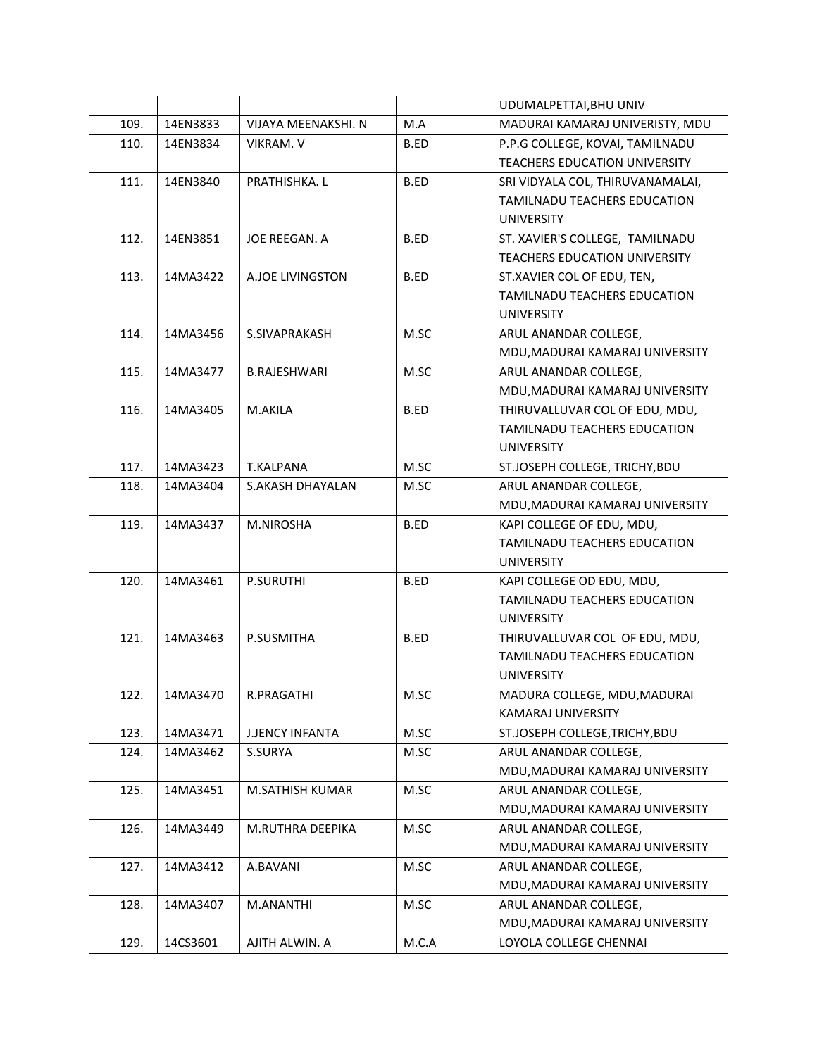|      |          |                         |       | UDUMALPETTAI, BHU UNIV               |
|------|----------|-------------------------|-------|--------------------------------------|
| 109. | 14EN3833 | VIJAYA MEENAKSHI. N     | M.A   | MADURAI KAMARAJ UNIVERISTY, MDU      |
| 110. | 14EN3834 | VIKRAM. V               | B.ED  | P.P.G COLLEGE, KOVAI, TAMILNADU      |
|      |          |                         |       | <b>TEACHERS EDUCATION UNIVERSITY</b> |
| 111. | 14EN3840 | PRATHISHKA. L           | B.ED  | SRI VIDYALA COL, THIRUVANAMALAI,     |
|      |          |                         |       | TAMILNADU TEACHERS EDUCATION         |
|      |          |                         |       | <b>UNIVERSITY</b>                    |
| 112. | 14EN3851 | JOE REEGAN. A           | B.ED  | ST. XAVIER'S COLLEGE, TAMILNADU      |
|      |          |                         |       | TEACHERS EDUCATION UNIVERSITY        |
| 113. | 14MA3422 | A.JOE LIVINGSTON        | B.ED  | ST.XAVIER COL OF EDU, TEN,           |
|      |          |                         |       | TAMILNADU TEACHERS EDUCATION         |
|      |          |                         |       | <b>UNIVERSITY</b>                    |
| 114. | 14MA3456 | S.SIVAPRAKASH           | M.SC  | ARUL ANANDAR COLLEGE,                |
|      |          |                         |       | MDU, MADURAI KAMARAJ UNIVERSITY      |
| 115. | 14MA3477 | <b>B.RAJESHWARI</b>     | M.SC  | ARUL ANANDAR COLLEGE,                |
|      |          |                         |       | MDU, MADURAI KAMARAJ UNIVERSITY      |
| 116. | 14MA3405 | M.AKILA                 | B.ED  | THIRUVALLUVAR COL OF EDU, MDU,       |
|      |          |                         |       | <b>TAMILNADU TEACHERS EDUCATION</b>  |
|      |          |                         |       | <b>UNIVERSITY</b>                    |
| 117. | 14MA3423 | <b>T.KALPANA</b>        | M.SC  | ST.JOSEPH COLLEGE, TRICHY, BDU       |
| 118. | 14MA3404 | <b>S.AKASH DHAYALAN</b> | M.SC  | ARUL ANANDAR COLLEGE,                |
|      |          |                         |       | MDU, MADURAI KAMARAJ UNIVERSITY      |
| 119. | 14MA3437 | M.NIROSHA               | B.ED  | KAPI COLLEGE OF EDU, MDU,            |
|      |          |                         |       | TAMILNADU TEACHERS EDUCATION         |
|      |          |                         |       | <b>UNIVERSITY</b>                    |
| 120. | 14MA3461 | P.SURUTHI               | B.ED  | KAPI COLLEGE OD EDU, MDU,            |
|      |          |                         |       | TAMILNADU TEACHERS EDUCATION         |
|      |          |                         |       | <b>UNIVERSITY</b>                    |
| 121. | 14MA3463 | P.SUSMITHA              | B.ED  | THIRUVALLUVAR COL OF EDU, MDU,       |
|      |          |                         |       | TAMILNADU TEACHERS EDUCATION         |
|      |          |                         |       | <b>UNIVERSITY</b>                    |
| 122. | 14MA3470 | R.PRAGATHI              | M.SC  | MADURA COLLEGE, MDU, MADURAI         |
|      |          |                         |       | KAMARAJ UNIVERSITY                   |
| 123. | 14MA3471 | <b>J.JENCY INFANTA</b>  | M.SC  | ST.JOSEPH COLLEGE, TRICHY, BDU       |
| 124. | 14MA3462 | S.SURYA                 | M.SC  | ARUL ANANDAR COLLEGE,                |
|      |          |                         |       | MDU, MADURAI KAMARAJ UNIVERSITY      |
| 125. | 14MA3451 | M.SATHISH KUMAR         | M.SC  | ARUL ANANDAR COLLEGE,                |
|      |          |                         |       | MDU, MADURAI KAMARAJ UNIVERSITY      |
| 126. | 14MA3449 | M.RUTHRA DEEPIKA        | M.SC  | ARUL ANANDAR COLLEGE,                |
|      |          |                         |       | MDU, MADURAI KAMARAJ UNIVERSITY      |
| 127. | 14MA3412 | A.BAVANI                | M.SC  | ARUL ANANDAR COLLEGE,                |
|      |          |                         |       | MDU, MADURAI KAMARAJ UNIVERSITY      |
| 128. | 14MA3407 | M.ANANTHI               | M.SC  | ARUL ANANDAR COLLEGE,                |
|      |          |                         |       | MDU, MADURAI KAMARAJ UNIVERSITY      |
| 129. | 14CS3601 | AJITH ALWIN. A          | M.C.A | LOYOLA COLLEGE CHENNAI               |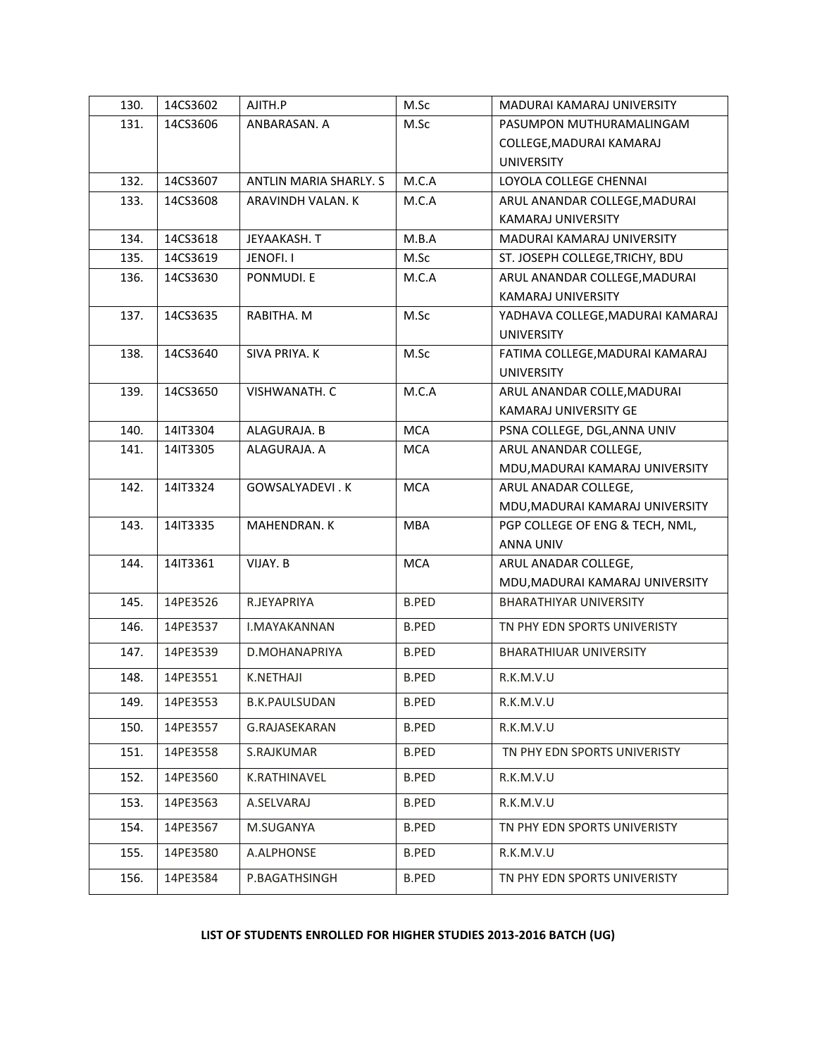| 130. | 14CS3602 | AJITH.P                       | M.Sc         | MADURAI KAMARAJ UNIVERSITY       |
|------|----------|-------------------------------|--------------|----------------------------------|
| 131. | 14CS3606 | ANBARASAN. A                  | M.Sc         | PASUMPON MUTHURAMALINGAM         |
|      |          |                               |              | COLLEGE, MADURAI KAMARAJ         |
|      |          |                               |              | <b>UNIVERSITY</b>                |
| 132. | 14CS3607 | <b>ANTLIN MARIA SHARLY. S</b> | M.C.A        | LOYOLA COLLEGE CHENNAI           |
| 133. | 14CS3608 | ARAVINDH VALAN. K             | M.C.A        | ARUL ANANDAR COLLEGE, MADURAI    |
|      |          |                               |              | <b>KAMARAJ UNIVERSITY</b>        |
| 134. | 14CS3618 | JEYAAKASH. T                  | M.B.A        | MADURAI KAMARAJ UNIVERSITY       |
| 135. | 14CS3619 | JENOFI. I                     | M.Sc         | ST. JOSEPH COLLEGE, TRICHY, BDU  |
| 136. | 14CS3630 | PONMUDI. E                    | M.C.A        | ARUL ANANDAR COLLEGE, MADURAI    |
|      |          |                               |              | KAMARAJ UNIVERSITY               |
| 137. | 14CS3635 | RABITHA. M                    | M.Sc         | YADHAVA COLLEGE, MADURAI KAMARAJ |
|      |          |                               |              | <b>UNIVERSITY</b>                |
| 138. | 14CS3640 | SIVA PRIYA. K                 | M.Sc         | FATIMA COLLEGE, MADURAI KAMARAJ  |
|      |          |                               |              | <b>UNIVERSITY</b>                |
| 139. | 14CS3650 | VISHWANATH. C                 | M.C.A        | ARUL ANANDAR COLLE, MADURAI      |
|      |          |                               |              | KAMARAJ UNIVERSITY GE            |
| 140. | 14IT3304 | ALAGURAJA, B                  | <b>MCA</b>   | PSNA COLLEGE, DGL, ANNA UNIV     |
| 141. | 14IT3305 | ALAGURAJA. A                  | <b>MCA</b>   | ARUL ANANDAR COLLEGE,            |
|      |          |                               |              | MDU, MADURAI KAMARAJ UNIVERSITY  |
| 142. | 14IT3324 | GOWSALYADEVI, K               | <b>MCA</b>   | ARUL ANADAR COLLEGE,             |
|      |          |                               |              | MDU, MADURAI KAMARAJ UNIVERSITY  |
| 143. | 14IT3335 | MAHENDRAN. K                  | <b>MBA</b>   | PGP COLLEGE OF ENG & TECH, NML,  |
|      |          |                               |              | <b>ANNA UNIV</b>                 |
| 144. | 14IT3361 | VIJAY. B                      | <b>MCA</b>   | ARUL ANADAR COLLEGE,             |
|      |          |                               |              | MDU, MADURAI KAMARAJ UNIVERSITY  |
| 145. | 14PE3526 | R.JEYAPRIYA                   | <b>B.PED</b> | <b>BHARATHIYAR UNIVERSITY</b>    |
| 146. | 14PE3537 | <b>I.MAYAKANNAN</b>           | <b>B.PED</b> | TN PHY EDN SPORTS UNIVERISTY     |
| 147. | 14PE3539 | D.MOHANAPRIYA                 | <b>B.PED</b> | <b>BHARATHIUAR UNIVERSITY</b>    |
| 148. | 14PE3551 | K.NETHAJI                     | <b>B.PED</b> | R.K.M.V.U                        |
| 149. | 14PE3553 | B.K.PAULSUDAN                 | B.PED        | R.K.M.V.U                        |
| 150. | 14PE3557 | G.RAJASEKARAN                 | <b>B.PED</b> | R.K.M.V.U                        |
| 151. | 14PE3558 | S.RAJKUMAR                    | <b>B.PED</b> | TN PHY EDN SPORTS UNIVERISTY     |
| 152. | 14PE3560 | K.RATHINAVEL                  | <b>B.PED</b> | R.K.M.V.U                        |
| 153. | 14PE3563 | A.SELVARAJ                    | B.PED        | R.K.M.V.U                        |
| 154. | 14PE3567 | M.SUGANYA                     | B.PED        | TN PHY EDN SPORTS UNIVERISTY     |
| 155. | 14PE3580 | A.ALPHONSE                    | B.PED        | R.K.M.V.U                        |
| 156. | 14PE3584 | P.BAGATHSINGH                 | B.PED        | TN PHY EDN SPORTS UNIVERISTY     |

# **LIST OF STUDENTS ENROLLED FOR HIGHER STUDIES 2013-2016 BATCH (UG)**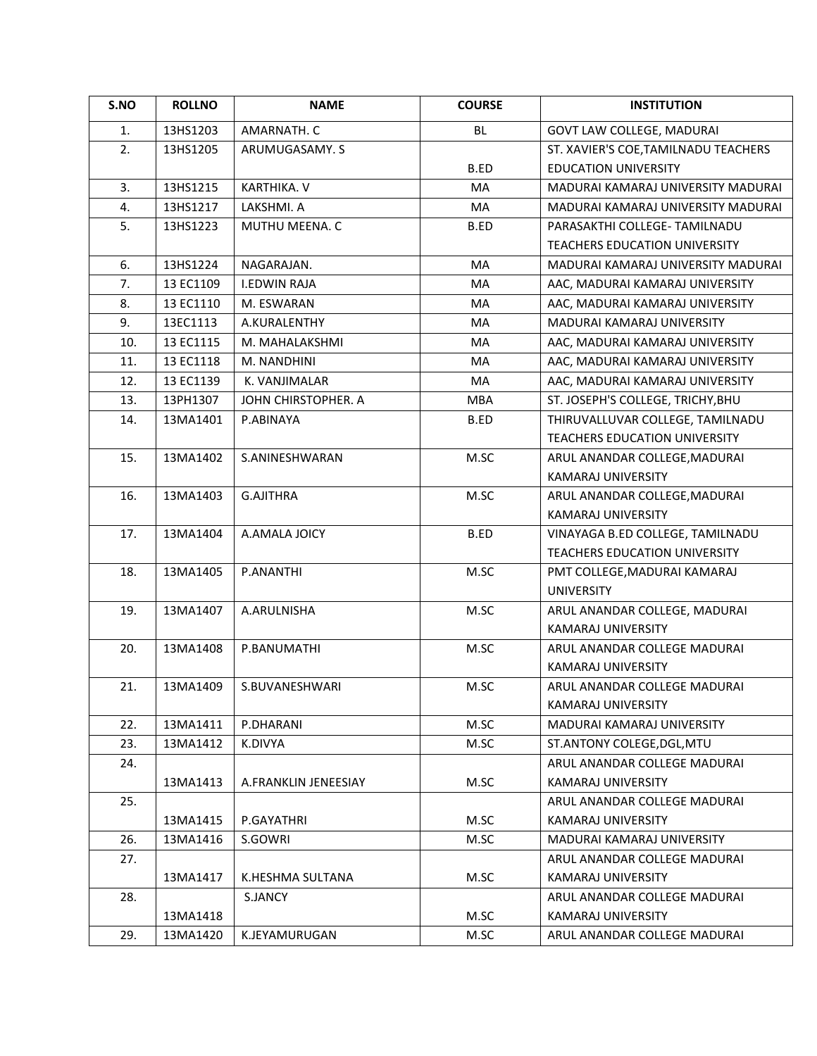| S.NO | <b>ROLLNO</b> | <b>NAME</b>          | <b>COURSE</b> | <b>INSTITUTION</b>                   |
|------|---------------|----------------------|---------------|--------------------------------------|
| 1.   | 13HS1203      | AMARNATH. C          | <b>BL</b>     | GOVT LAW COLLEGE, MADURAI            |
| 2.   | 13HS1205      | ARUMUGASAMY. S       |               | ST. XAVIER'S COE, TAMILNADU TEACHERS |
|      |               |                      | B.ED          | <b>EDUCATION UNIVERSITY</b>          |
| 3.   | 13HS1215      | KARTHIKA. V          | MA            | MADURAI KAMARAJ UNIVERSITY MADURAI   |
| 4.   | 13HS1217      | LAKSHMI. A           | MA            | MADURAI KAMARAJ UNIVERSITY MADURAI   |
| 5.   | 13HS1223      | MUTHU MEENA. C       | B.ED          | PARASAKTHI COLLEGE- TAMILNADU        |
|      |               |                      |               | TEACHERS EDUCATION UNIVERSITY        |
| 6.   | 13HS1224      | NAGARAJAN.           | <b>MA</b>     | MADURAI KAMARAJ UNIVERSITY MADURAI   |
| 7.   | 13 EC1109     | <b>I.EDWIN RAJA</b>  | MA            | AAC, MADURAI KAMARAJ UNIVERSITY      |
| 8.   | 13 EC1110     | M. ESWARAN           | MA            | AAC, MADURAI KAMARAJ UNIVERSITY      |
| 9.   | 13EC1113      | A.KURALENTHY         | MA            | MADURAI KAMARAJ UNIVERSITY           |
| 10.  | 13 EC1115     | M. MAHALAKSHMI       | MA            | AAC, MADURAI KAMARAJ UNIVERSITY      |
| 11.  | 13 EC1118     | M. NANDHINI          | MA            | AAC, MADURAI KAMARAJ UNIVERSITY      |
| 12.  | 13 EC1139     | K. VANJIMALAR        | MA            | AAC, MADURAI KAMARAJ UNIVERSITY      |
| 13.  | 13PH1307      | JOHN CHIRSTOPHER. A  | <b>MBA</b>    | ST. JOSEPH'S COLLEGE, TRICHY, BHU    |
| 14.  | 13MA1401      | P.ABINAYA            | B.ED          | THIRUVALLUVAR COLLEGE, TAMILNADU     |
|      |               |                      |               | TEACHERS EDUCATION UNIVERSITY        |
| 15.  | 13MA1402      | S.ANINESHWARAN       | M.SC          | ARUL ANANDAR COLLEGE, MADURAI        |
|      |               |                      |               | <b>KAMARAJ UNIVERSITY</b>            |
| 16.  | 13MA1403      | <b>G.AJITHRA</b>     | M.SC          | ARUL ANANDAR COLLEGE, MADURAI        |
|      |               |                      |               | <b>KAMARAJ UNIVERSITY</b>            |
| 17.  | 13MA1404      | A.AMALA JOICY        | B.ED          | VINAYAGA B.ED COLLEGE, TAMILNADU     |
|      |               |                      |               | TEACHERS EDUCATION UNIVERSITY        |
| 18.  | 13MA1405      | P.ANANTHI            | M.SC          | PMT COLLEGE, MADURAI KAMARAJ         |
|      |               |                      |               | <b>UNIVERSITY</b>                    |
| 19.  | 13MA1407      | A.ARULNISHA          | M.SC          | ARUL ANANDAR COLLEGE, MADURAI        |
|      |               |                      |               | <b>KAMARAJ UNIVERSITY</b>            |
| 20.  | 13MA1408      | P.BANUMATHI          | M.SC          | ARUL ANANDAR COLLEGE MADURAI         |
|      |               |                      |               | <b>KAMARAJ UNIVERSITY</b>            |
| 21.  | 13MA1409      | S.BUVANESHWARI       | M.SC          | ARUL ANANDAR COLLEGE MADURAI         |
|      |               |                      |               | KAMARAJ UNIVERSITY                   |
| 22.  | 13MA1411      | P.DHARANI            | M.SC          | MADURAI KAMARAJ UNIVERSITY           |
| 23.  | 13MA1412      | K.DIVYA              | M.SC          | ST.ANTONY COLEGE.DGL.MTU             |
| 24.  |               |                      |               | ARUL ANANDAR COLLEGE MADURAI         |
|      | 13MA1413      | A.FRANKLIN JENEESIAY | M.SC          | KAMARAJ UNIVERSITY                   |
| 25.  |               |                      |               | ARUL ANANDAR COLLEGE MADURAI         |
|      | 13MA1415      | P.GAYATHRI           | M.SC          | KAMARAJ UNIVERSITY                   |
| 26.  | 13MA1416      | S.GOWRI              | M.SC          | MADURAI KAMARAJ UNIVERSITY           |
| 27.  |               |                      |               | ARUL ANANDAR COLLEGE MADURAI         |
|      | 13MA1417      | K.HESHMA SULTANA     | M.SC          | KAMARAJ UNIVERSITY                   |
| 28.  |               | S.JANCY              |               | ARUL ANANDAR COLLEGE MADURAI         |
|      | 13MA1418      |                      | M.SC          | KAMARAJ UNIVERSITY                   |
| 29.  | 13MA1420      | K.JEYAMURUGAN        | M.SC          | ARUL ANANDAR COLLEGE MADURAI         |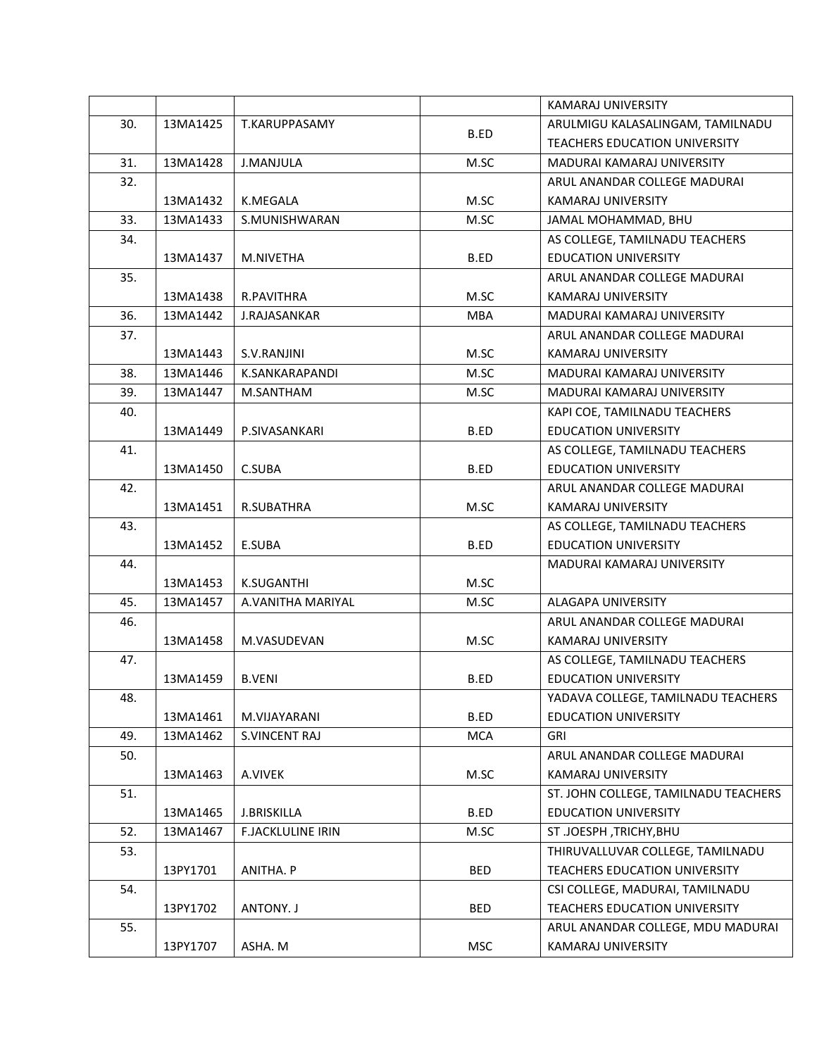|     |          |                          |            | KAMARAJ UNIVERSITY                   |
|-----|----------|--------------------------|------------|--------------------------------------|
| 30. | 13MA1425 | T.KARUPPASAMY            |            | ARULMIGU KALASALINGAM, TAMILNADU     |
|     |          |                          | B.ED       | TEACHERS EDUCATION UNIVERSITY        |
| 31. | 13MA1428 | J.MANJULA                | M.SC       | MADURAI KAMARAJ UNIVERSITY           |
| 32. |          |                          |            | ARUL ANANDAR COLLEGE MADURAI         |
|     | 13MA1432 | K.MEGALA                 | M.SC       | KAMARAJ UNIVERSITY                   |
| 33. | 13MA1433 | S.MUNISHWARAN            | M.SC       | JAMAL MOHAMMAD, BHU                  |
| 34. |          |                          |            | AS COLLEGE, TAMILNADU TEACHERS       |
|     | 13MA1437 | M.NIVETHA                | B.ED       | <b>EDUCATION UNIVERSITY</b>          |
| 35. |          |                          |            | ARUL ANANDAR COLLEGE MADURAI         |
|     | 13MA1438 | R.PAVITHRA               | M.SC       | KAMARAJ UNIVERSITY                   |
| 36. | 13MA1442 | J.RAJASANKAR             | <b>MBA</b> | MADURAI KAMARAJ UNIVERSITY           |
| 37. |          |                          |            | ARUL ANANDAR COLLEGE MADURAI         |
|     | 13MA1443 | S.V.RANJINI              | M.SC       | KAMARAJ UNIVERSITY                   |
| 38. | 13MA1446 | K.SANKARAPANDI           | M.SC       | MADURAI KAMARAJ UNIVERSITY           |
| 39. | 13MA1447 | M.SANTHAM                | M.SC       | MADURAI KAMARAJ UNIVERSITY           |
| 40. |          |                          |            | KAPI COE, TAMILNADU TEACHERS         |
|     | 13MA1449 | P.SIVASANKARI            | B.ED       | <b>EDUCATION UNIVERSITY</b>          |
| 41. |          |                          |            | AS COLLEGE, TAMILNADU TEACHERS       |
|     | 13MA1450 | C.SUBA                   | B.ED       | <b>EDUCATION UNIVERSITY</b>          |
| 42. |          |                          |            | ARUL ANANDAR COLLEGE MADURAI         |
|     | 13MA1451 | R.SUBATHRA               | M.SC       | KAMARAJ UNIVERSITY                   |
| 43. |          |                          |            | AS COLLEGE, TAMILNADU TEACHERS       |
|     | 13MA1452 | E.SUBA                   | B.ED       | <b>EDUCATION UNIVERSITY</b>          |
| 44. |          |                          |            | MADURAI KAMARAJ UNIVERSITY           |
|     | 13MA1453 | K.SUGANTHI               | M.SC       |                                      |
| 45. | 13MA1457 | A.VANITHA MARIYAL        | M.SC       | ALAGAPA UNIVERSITY                   |
| 46. |          |                          |            | ARUL ANANDAR COLLEGE MADURAI         |
|     | 13MA1458 | M.VASUDEVAN              | M.SC       | KAMARAJ UNIVERSITY                   |
| 47. |          |                          |            | AS COLLEGE, TAMILNADU TEACHERS       |
|     | 13MA1459 | <b>B.VENI</b>            | B.ED       | <b>EDUCATION UNIVERSITY</b>          |
| 48. |          |                          |            | YADAVA COLLEGE, TAMILNADU TEACHERS   |
|     | 13MA1461 | M.VIJAYARANI             | B.ED       | <b>EDUCATION UNIVERSITY</b>          |
| 49. | 13MA1462 | <b>S.VINCENT RAJ</b>     | <b>MCA</b> | GRI                                  |
| 50. |          |                          |            | ARUL ANANDAR COLLEGE MADURAI         |
|     | 13MA1463 | A.VIVEK                  | M.SC       | KAMARAJ UNIVERSITY                   |
| 51. |          |                          |            | ST. JOHN COLLEGE, TAMILNADU TEACHERS |
|     | 13MA1465 | J.BRISKILLA              | B.ED       | <b>EDUCATION UNIVERSITY</b>          |
| 52. | 13MA1467 | <b>F.JACKLULINE IRIN</b> | M.SC       | ST .JOESPH, TRICHY, BHU              |
| 53. |          |                          |            | THIRUVALLUVAR COLLEGE, TAMILNADU     |
|     | 13PY1701 | ANITHA. P                | <b>BED</b> | TEACHERS EDUCATION UNIVERSITY        |
| 54. |          |                          |            | CSI COLLEGE, MADURAI, TAMILNADU      |
|     | 13PY1702 | ANTONY. J                | <b>BED</b> | TEACHERS EDUCATION UNIVERSITY        |
| 55. |          |                          |            | ARUL ANANDAR COLLEGE, MDU MADURAI    |
|     | 13PY1707 | ASHA. M                  | <b>MSC</b> | KAMARAJ UNIVERSITY                   |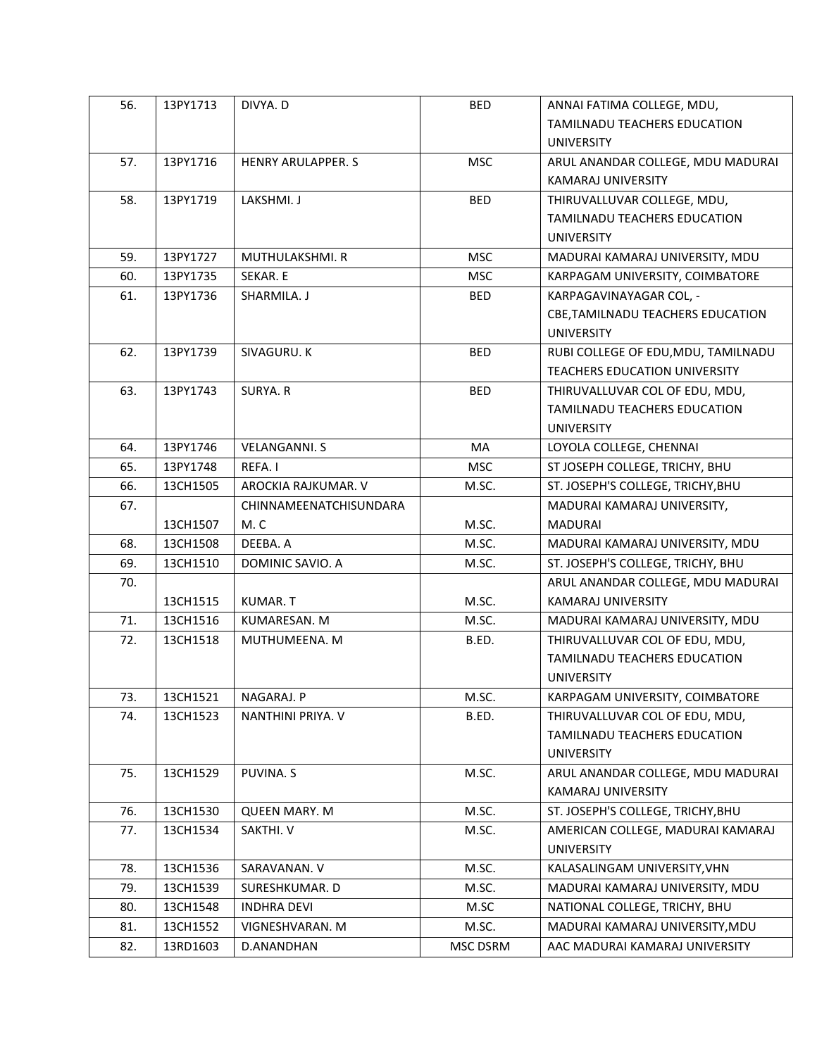| 56. | 13PY1713 | DIVYA. D                  | <b>BED</b> | ANNAI FATIMA COLLEGE, MDU,           |
|-----|----------|---------------------------|------------|--------------------------------------|
|     |          |                           |            | <b>TAMILNADU TEACHERS EDUCATION</b>  |
|     |          |                           |            | <b>UNIVERSITY</b>                    |
| 57. | 13PY1716 | <b>HENRY ARULAPPER. S</b> | <b>MSC</b> | ARUL ANANDAR COLLEGE, MDU MADURAI    |
|     |          |                           |            | <b>KAMARAJ UNIVERSITY</b>            |
| 58. | 13PY1719 | LAKSHMI. J                | <b>BED</b> | THIRUVALLUVAR COLLEGE, MDU,          |
|     |          |                           |            | TAMILNADU TEACHERS EDUCATION         |
|     |          |                           |            | <b>UNIVERSITY</b>                    |
| 59. | 13PY1727 | MUTHULAKSHMI. R           | <b>MSC</b> | MADURAI KAMARAJ UNIVERSITY, MDU      |
| 60. | 13PY1735 | SEKAR. E                  | <b>MSC</b> | KARPAGAM UNIVERSITY, COIMBATORE      |
| 61. | 13PY1736 | SHARMILA. J               | <b>BED</b> | KARPAGAVINAYAGAR COL, -              |
|     |          |                           |            | CBE, TAMILNADU TEACHERS EDUCATION    |
|     |          |                           |            | <b>UNIVERSITY</b>                    |
| 62. | 13PY1739 | SIVAGURU. K               | <b>BED</b> | RUBI COLLEGE OF EDU, MDU, TAMILNADU  |
|     |          |                           |            | <b>TEACHERS EDUCATION UNIVERSITY</b> |
| 63. | 13PY1743 | SURYA. R                  | <b>BED</b> | THIRUVALLUVAR COL OF EDU. MDU.       |
|     |          |                           |            | TAMILNADU TEACHERS EDUCATION         |
|     |          |                           |            | <b>UNIVERSITY</b>                    |
| 64. | 13PY1746 | <b>VELANGANNI. S</b>      | MA         | LOYOLA COLLEGE, CHENNAI              |
| 65. | 13PY1748 | REFA. I                   | <b>MSC</b> | ST JOSEPH COLLEGE, TRICHY, BHU       |
| 66. | 13CH1505 | AROCKIA RAJKUMAR. V       | M.SC.      | ST. JOSEPH'S COLLEGE, TRICHY, BHU    |
| 67. |          | CHINNAMEENATCHISUNDARA    |            | MADURAI KAMARAJ UNIVERSITY,          |
|     | 13CH1507 | M.C                       | M.SC.      | <b>MADURAI</b>                       |
| 68. | 13CH1508 | DEEBA. A                  | M.SC.      | MADURAI KAMARAJ UNIVERSITY, MDU      |
| 69. | 13CH1510 | DOMINIC SAVIO. A          | M.SC.      | ST. JOSEPH'S COLLEGE, TRICHY, BHU    |
| 70. |          |                           |            | ARUL ANANDAR COLLEGE, MDU MADURAI    |
|     | 13CH1515 | <b>KUMAR. T</b>           | M.SC.      | KAMARAJ UNIVERSITY                   |
| 71. | 13CH1516 | KUMARESAN. M              | M.SC.      | MADURAI KAMARAJ UNIVERSITY, MDU      |
| 72. | 13CH1518 | MUTHUMEENA. M             | B.ED.      | THIRUVALLUVAR COL OF EDU, MDU,       |
|     |          |                           |            | TAMILNADU TEACHERS EDUCATION         |
|     |          |                           |            | <b>UNIVERSITY</b>                    |
| 73. | 13CH1521 | NAGARAJ. P                | M.SC.      | KARPAGAM UNIVERSITY, COIMBATORE      |
| 74. | 13CH1523 | NANTHINI PRIYA. V         | B.ED.      | THIRUVALLUVAR COL OF EDU, MDU,       |
|     |          |                           |            | TAMILNADU TEACHERS EDUCATION         |
|     |          |                           |            | <b>UNIVERSITY</b>                    |
| 75. | 13CH1529 | PUVINA. S                 | M.SC.      | ARUL ANANDAR COLLEGE, MDU MADURAI    |
|     |          |                           |            | KAMARAJ UNIVERSITY                   |
| 76. | 13CH1530 | QUEEN MARY. M             | M.SC.      | ST. JOSEPH'S COLLEGE, TRICHY, BHU    |
| 77. | 13CH1534 | SAKTHI. V                 | M.SC.      | AMERICAN COLLEGE, MADURAI KAMARAJ    |
|     |          |                           |            | <b>UNIVERSITY</b>                    |
| 78. | 13CH1536 | SARAVANAN. V              | M.SC.      | KALASALINGAM UNIVERSITY, VHN         |
| 79. | 13CH1539 | SURESHKUMAR. D            | M.SC.      | MADURAI KAMARAJ UNIVERSITY, MDU      |
| 80. | 13CH1548 | <b>INDHRA DEVI</b>        | M.SC       | NATIONAL COLLEGE, TRICHY, BHU        |
| 81. | 13CH1552 | VIGNESHVARAN. M           | M.SC.      | MADURAI KAMARAJ UNIVERSITY, MDU      |
| 82. | 13RD1603 | D.ANANDHAN                | MSC DSRM   | AAC MADURAI KAMARAJ UNIVERSITY       |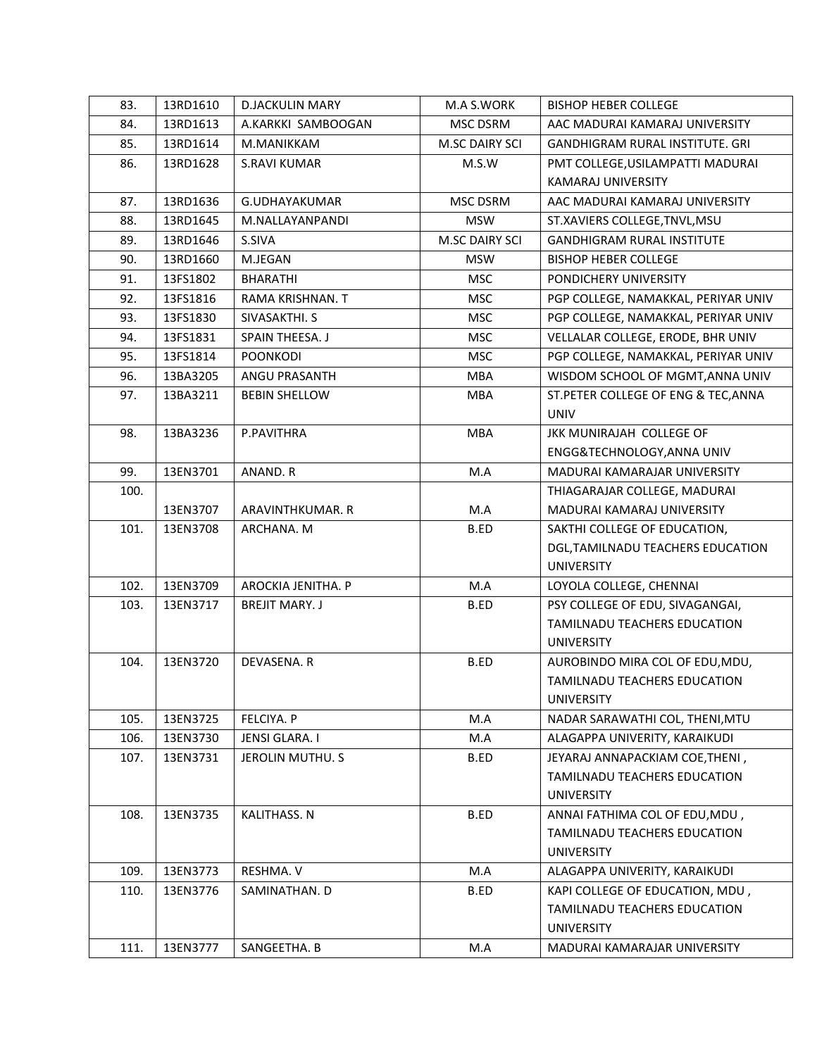| 83.  | 13RD1610 | <b>D.JACKULIN MARY</b> | M.A S.WORK            | <b>BISHOP HEBER COLLEGE</b>         |
|------|----------|------------------------|-----------------------|-------------------------------------|
| 84.  | 13RD1613 | A.KARKKI SAMBOOGAN     | MSC DSRM              | AAC MADURAI KAMARAJ UNIVERSITY      |
| 85.  | 13RD1614 | M.MANIKKAM             | M.SC DAIRY SCI        | GANDHIGRAM RURAL INSTITUTE. GRI     |
| 86.  | 13RD1628 | <b>S.RAVI KUMAR</b>    | M.S.W                 | PMT COLLEGE, USILAMPATTI MADURAI    |
|      |          |                        |                       | KAMARAJ UNIVERSITY                  |
| 87.  | 13RD1636 | G.UDHAYAKUMAR          | MSC DSRM              | AAC MADURAI KAMARAJ UNIVERSITY      |
| 88.  | 13RD1645 | M.NALLAYANPANDI        | <b>MSW</b>            | ST.XAVIERS COLLEGE, TNVL, MSU       |
| 89.  | 13RD1646 | S.SIVA                 | <b>M.SC DAIRY SCI</b> | <b>GANDHIGRAM RURAL INSTITUTE</b>   |
| 90.  | 13RD1660 | M.JEGAN                | <b>MSW</b>            | <b>BISHOP HEBER COLLEGE</b>         |
| 91.  | 13FS1802 | <b>BHARATHI</b>        | <b>MSC</b>            | PONDICHERY UNIVERSITY               |
| 92.  | 13FS1816 | RAMA KRISHNAN. T       | <b>MSC</b>            | PGP COLLEGE, NAMAKKAL, PERIYAR UNIV |
| 93.  | 13FS1830 | SIVASAKTHI. S          | <b>MSC</b>            | PGP COLLEGE, NAMAKKAL, PERIYAR UNIV |
| 94.  | 13FS1831 | SPAIN THEESA. J        | <b>MSC</b>            | VELLALAR COLLEGE, ERODE, BHR UNIV   |
| 95.  | 13FS1814 | <b>POONKODI</b>        | <b>MSC</b>            | PGP COLLEGE, NAMAKKAL, PERIYAR UNIV |
| 96.  | 13BA3205 | ANGU PRASANTH          | <b>MBA</b>            | WISDOM SCHOOL OF MGMT, ANNA UNIV    |
| 97.  | 13BA3211 | <b>BEBIN SHELLOW</b>   | <b>MBA</b>            | ST.PETER COLLEGE OF ENG & TEC, ANNA |
|      |          |                        |                       | <b>UNIV</b>                         |
| 98.  | 13BA3236 | P.PAVITHRA             | <b>MBA</b>            | JKK MUNIRAJAH COLLEGE OF            |
|      |          |                        |                       | ENGG&TECHNOLOGY, ANNA UNIV          |
| 99.  | 13EN3701 | ANAND. R               | M.A                   | MADURAI KAMARAJAR UNIVERSITY        |
| 100. |          |                        |                       | THIAGARAJAR COLLEGE, MADURAI        |
|      | 13EN3707 | ARAVINTHKUMAR. R       | M.A                   | MADURAI KAMARAJ UNIVERSITY          |
| 101. | 13EN3708 | ARCHANA. M             | B.ED                  | SAKTHI COLLEGE OF EDUCATION,        |
|      |          |                        |                       | DGL, TAMILNADU TEACHERS EDUCATION   |
|      |          |                        |                       | <b>UNIVERSITY</b>                   |
| 102. | 13EN3709 | AROCKIA JENITHA. P     | M.A                   | LOYOLA COLLEGE, CHENNAI             |
| 103. | 13EN3717 | <b>BREJIT MARY. J</b>  | B.ED                  | PSY COLLEGE OF EDU, SIVAGANGAI,     |
|      |          |                        |                       | TAMILNADU TEACHERS EDUCATION        |
|      |          |                        |                       | <b>UNIVERSITY</b>                   |
| 104. | 13EN3720 | DEVASENA. R            | B.ED                  | AUROBINDO MIRA COL OF EDU, MDU,     |
|      |          |                        |                       | TAMILNADU TEACHERS EDUCATION        |
|      |          |                        |                       | <b>UNIVERSITY</b>                   |
| 105. | 13EN3725 | FELCIYA. P             | M.A                   | NADAR SARAWATHI COL, THENI, MTU     |
| 106. | 13EN3730 | JENSI GLARA. I         | M.A                   | ALAGAPPA UNIVERITY, KARAIKUDI       |
| 107. | 13EN3731 | JEROLIN MUTHU. S       | B.ED                  | JEYARAJ ANNAPACKIAM COE, THENI,     |
|      |          |                        |                       | TAMILNADU TEACHERS EDUCATION        |
|      |          |                        |                       | <b>UNIVERSITY</b>                   |
| 108. | 13EN3735 | KALITHASS. N           | B.ED                  | ANNAI FATHIMA COL OF EDU, MDU,      |
|      |          |                        |                       | TAMILNADU TEACHERS EDUCATION        |
|      |          |                        |                       | <b>UNIVERSITY</b>                   |
| 109. | 13EN3773 | RESHMA. V              | M.A                   | ALAGAPPA UNIVERITY, KARAIKUDI       |
| 110. | 13EN3776 | SAMINATHAN. D          | B.ED                  | KAPI COLLEGE OF EDUCATION, MDU,     |
|      |          |                        |                       | TAMILNADU TEACHERS EDUCATION        |
|      |          |                        |                       | <b>UNIVERSITY</b>                   |
| 111. | 13EN3777 | SANGEETHA. B           | M.A                   | MADURAI KAMARAJAR UNIVERSITY        |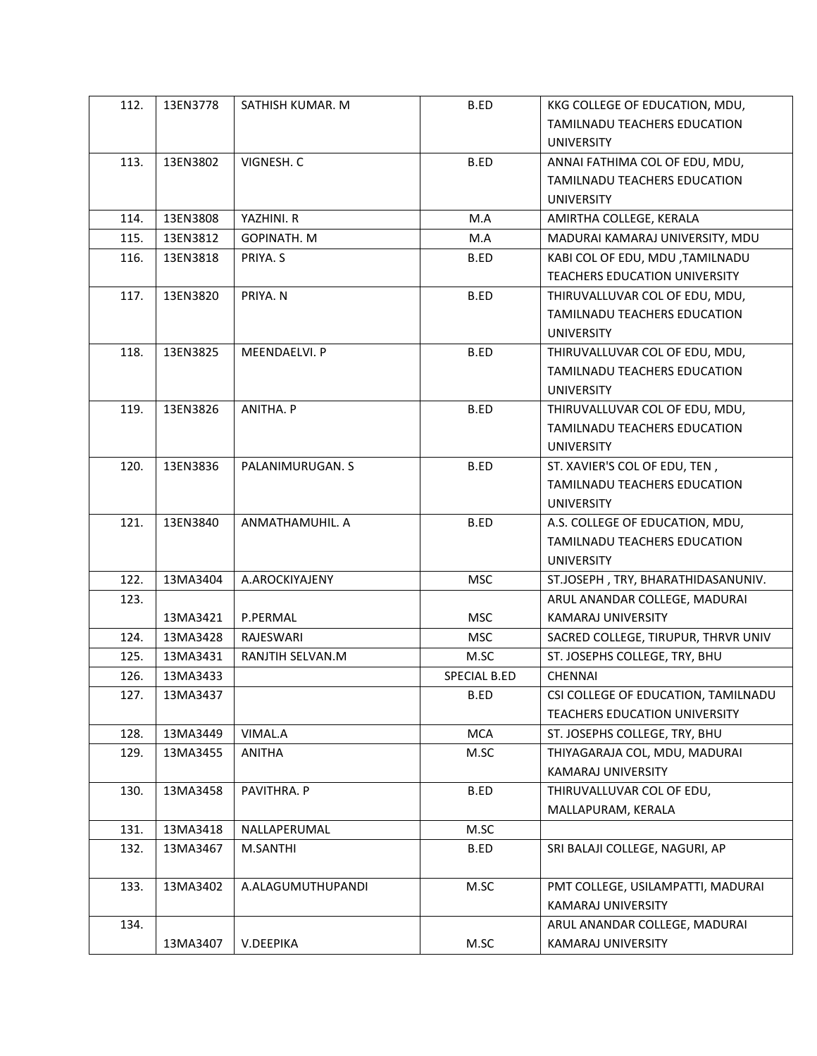| 112. | 13EN3778 | SATHISH KUMAR. M  | B.ED         | KKG COLLEGE OF EDUCATION, MDU,      |
|------|----------|-------------------|--------------|-------------------------------------|
|      |          |                   |              | TAMILNADU TEACHERS EDUCATION        |
|      |          |                   |              | <b>UNIVERSITY</b>                   |
| 113. | 13EN3802 | VIGNESH. C        | B.ED         | ANNAI FATHIMA COL OF EDU, MDU,      |
|      |          |                   |              | TAMILNADU TEACHERS EDUCATION        |
|      |          |                   |              | <b>UNIVERSITY</b>                   |
| 114. | 13EN3808 | YAZHINI. R        | M.A          | AMIRTHA COLLEGE, KERALA             |
| 115. | 13EN3812 | GOPINATH. M       | M.A          | MADURAI KAMARAJ UNIVERSITY, MDU     |
| 116. | 13EN3818 | PRIYA. S          | B.ED         | KABI COL OF EDU, MDU, TAMILNADU     |
|      |          |                   |              | TEACHERS EDUCATION UNIVERSITY       |
| 117. | 13EN3820 | PRIYA. N          | B.ED         | THIRUVALLUVAR COL OF EDU, MDU,      |
|      |          |                   |              | TAMILNADU TEACHERS EDUCATION        |
|      |          |                   |              | <b>UNIVERSITY</b>                   |
| 118. | 13EN3825 | MEENDAELVI. P     | B.ED         | THIRUVALLUVAR COL OF EDU, MDU,      |
|      |          |                   |              | TAMILNADU TEACHERS EDUCATION        |
|      |          |                   |              | <b>UNIVERSITY</b>                   |
| 119. | 13EN3826 | ANITHA. P         | B.ED         | THIRUVALLUVAR COL OF EDU, MDU,      |
|      |          |                   |              | TAMILNADU TEACHERS EDUCATION        |
|      |          |                   |              | <b>UNIVERSITY</b>                   |
| 120. | 13EN3836 | PALANIMURUGAN. S  | B.ED         | ST. XAVIER'S COL OF EDU, TEN,       |
|      |          |                   |              | TAMILNADU TEACHERS EDUCATION        |
|      |          |                   |              | <b>UNIVERSITY</b>                   |
| 121. | 13EN3840 | ANMATHAMUHIL. A   | B.ED         | A.S. COLLEGE OF EDUCATION, MDU,     |
|      |          |                   |              | TAMILNADU TEACHERS EDUCATION        |
|      |          |                   |              | <b>UNIVERSITY</b>                   |
| 122. | 13MA3404 | A.AROCKIYAJENY    | <b>MSC</b>   | ST.JOSEPH, TRY, BHARATHIDASANUNIV.  |
| 123. |          |                   |              | ARUL ANANDAR COLLEGE, MADURAI       |
|      | 13MA3421 | P.PERMAL          | <b>MSC</b>   | KAMARAJ UNIVERSITY                  |
| 124. | 13MA3428 | RAJESWARI         | <b>MSC</b>   | SACRED COLLEGE, TIRUPUR, THRVR UNIV |
| 125. | 13MA3431 | RANJTIH SELVAN.M  | M.SC         | ST. JOSEPHS COLLEGE, TRY, BHU       |
| 126. | 13MA3433 |                   | SPECIAL B.ED | CHENNAI                             |
| 127. | 13MA3437 |                   | B.ED         | CSI COLLEGE OF EDUCATION, TAMILNADU |
|      |          |                   |              | TEACHERS EDUCATION UNIVERSITY       |
| 128. | 13MA3449 | VIMAL.A           | <b>MCA</b>   | ST. JOSEPHS COLLEGE, TRY, BHU       |
| 129. | 13MA3455 | ANITHA            | M.SC         | THIYAGARAJA COL, MDU, MADURAI       |
|      |          |                   |              | KAMARAJ UNIVERSITY                  |
| 130. | 13MA3458 | PAVITHRA. P       | B.ED         | THIRUVALLUVAR COL OF EDU,           |
|      |          |                   |              | MALLAPURAM, KERALA                  |
| 131. | 13MA3418 | NALLAPERUMAL      | M.SC         |                                     |
| 132. | 13MA3467 | M.SANTHI          | B.ED         | SRI BALAJI COLLEGE, NAGURI, AP      |
|      |          |                   |              |                                     |
| 133. | 13MA3402 | A.ALAGUMUTHUPANDI | M.SC         | PMT COLLEGE, USILAMPATTI, MADURAI   |
|      |          |                   |              | KAMARAJ UNIVERSITY                  |
| 134. |          |                   |              | ARUL ANANDAR COLLEGE, MADURAI       |
|      | 13MA3407 | V.DEEPIKA         | M.SC         | KAMARAJ UNIVERSITY                  |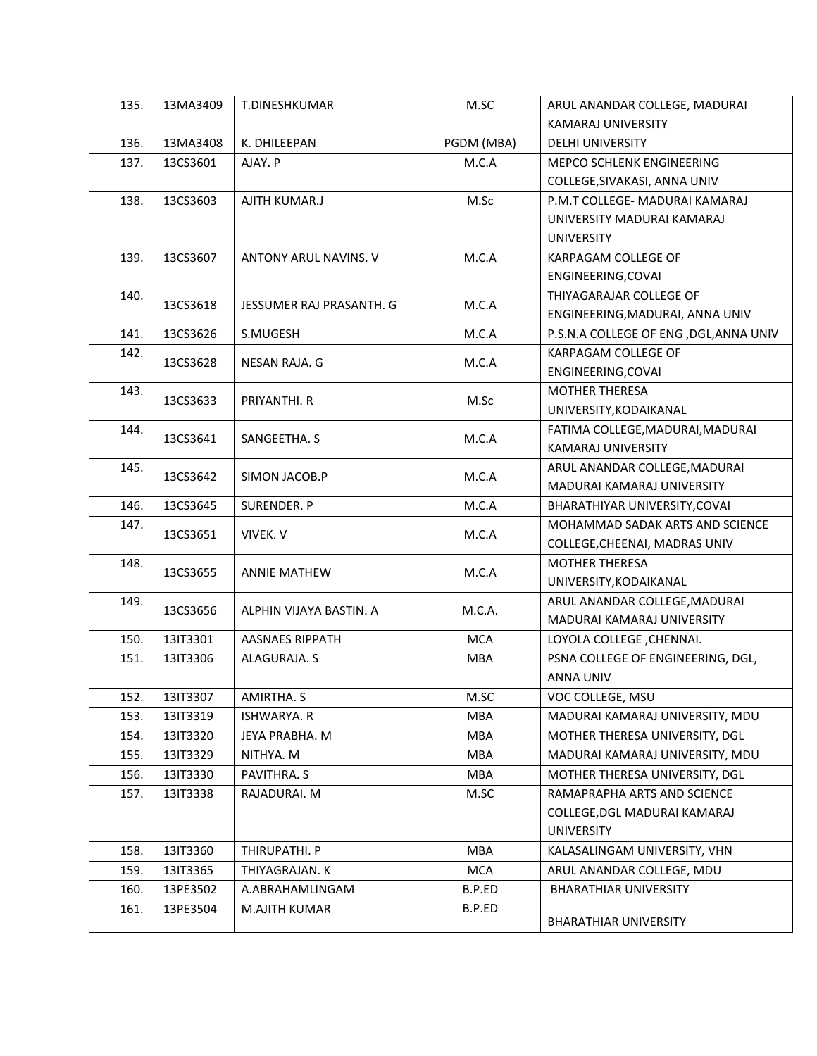| 135. | 13MA3409 | T.DINESHKUMAR            | M.SC       | ARUL ANANDAR COLLEGE, MADURAI           |
|------|----------|--------------------------|------------|-----------------------------------------|
|      |          |                          |            | KAMARAJ UNIVERSITY                      |
| 136. | 13MA3408 | K. DHILEEPAN             | PGDM (MBA) | <b>DELHI UNIVERSITY</b>                 |
| 137. | 13CS3601 | AJAY. P                  | M.C.A      | MEPCO SCHLENK ENGINEERING               |
|      |          |                          |            | COLLEGE, SIVAKASI, ANNA UNIV            |
| 138. | 13CS3603 | AJITH KUMAR.J            | M.Sc       | P.M.T COLLEGE- MADURAI KAMARAJ          |
|      |          |                          |            | UNIVERSITY MADURAI KAMARAJ              |
|      |          |                          |            | UNIVERSITY                              |
| 139. | 13CS3607 | ANTONY ARUL NAVINS. V    | M.C.A      | KARPAGAM COLLEGE OF                     |
|      |          |                          |            | ENGINEERING, COVAI                      |
| 140. |          |                          |            | THIYAGARAJAR COLLEGE OF                 |
|      | 13CS3618 | JESSUMER RAJ PRASANTH. G | M.C.A      | ENGINEERING, MADURAI, ANNA UNIV         |
| 141. | 13CS3626 | S.MUGESH                 | M.C.A      | P.S.N.A COLLEGE OF ENG , DGL, ANNA UNIV |
| 142. |          |                          |            | KARPAGAM COLLEGE OF                     |
|      | 13CS3628 | NESAN RAJA. G            | M.C.A      | ENGINEERING, COVAI                      |
| 143. |          |                          |            | <b>MOTHER THERESA</b>                   |
|      | 13CS3633 | PRIYANTHI. R             | M.Sc       | UNIVERSITY, KODAIKANAL                  |
| 144. |          |                          |            | FATIMA COLLEGE, MADURAI, MADURAI        |
|      | 13CS3641 | SANGEETHA. S             | M.C.A      | KAMARAJ UNIVERSITY                      |
| 145. |          |                          |            | ARUL ANANDAR COLLEGE, MADURAI           |
|      | 13CS3642 | SIMON JACOB.P            | M.C.A      | MADURAI KAMARAJ UNIVERSITY              |
| 146. | 13CS3645 | SURENDER. P              | M.C.A      | BHARATHIYAR UNIVERSITY, COVAI           |
| 147. |          |                          |            | MOHAMMAD SADAK ARTS AND SCIENCE         |
|      | 13CS3651 | VIVEK. V                 | M.C.A      | COLLEGE, CHEENAI, MADRAS UNIV           |
| 148. |          |                          |            | <b>MOTHER THERESA</b>                   |
|      | 13CS3655 | <b>ANNIE MATHEW</b>      | M.C.A      | UNIVERSITY, KODAIKANAL                  |
| 149. |          |                          |            | ARUL ANANDAR COLLEGE, MADURAI           |
|      | 13CS3656 | ALPHIN VIJAYA BASTIN. A  | M.C.A.     | MADURAI KAMARAJ UNIVERSITY              |
| 150. | 13IT3301 | <b>AASNAES RIPPATH</b>   | <b>MCA</b> | LOYOLA COLLEGE, CHENNAI.                |
| 151. | 13IT3306 | ALAGURAJA. S             | <b>MBA</b> | PSNA COLLEGE OF ENGINEERING, DGL,       |
|      |          |                          |            | <b>ANNA UNIV</b>                        |
| 152. | 13IT3307 | AMIRTHA. S               | M.SC       | VOC COLLEGE, MSU                        |
| 153. | 13IT3319 | ISHWARYA. R              | <b>MBA</b> | MADURAI KAMARAJ UNIVERSITY, MDU         |
| 154. | 13IT3320 | JEYA PRABHA. M           | MBA        | MOTHER THERESA UNIVERSITY, DGL          |
| 155. | 13IT3329 | NITHYA. M                | <b>MBA</b> | MADURAI KAMARAJ UNIVERSITY, MDU         |
| 156. | 13IT3330 | PAVITHRA. S              | <b>MBA</b> | MOTHER THERESA UNIVERSITY, DGL          |
| 157. | 13IT3338 | RAJADURAI. M             | M.SC       | RAMAPRAPHA ARTS AND SCIENCE             |
|      |          |                          |            | COLLEGE, DGL MADURAI KAMARAJ            |
|      |          |                          |            | <b>UNIVERSITY</b>                       |
| 158. | 13IT3360 | THIRUPATHI. P            | <b>MBA</b> | KALASALINGAM UNIVERSITY, VHN            |
| 159. | 13IT3365 | THIYAGRAJAN. K           | <b>MCA</b> | ARUL ANANDAR COLLEGE, MDU               |
| 160. | 13PE3502 | A.ABRAHAMLINGAM          | B.P.ED     | <b>BHARATHIAR UNIVERSITY</b>            |
| 161. | 13PE3504 | M.AJITH KUMAR            | B.P.ED     |                                         |
|      |          |                          |            | <b>BHARATHIAR UNIVERSITY</b>            |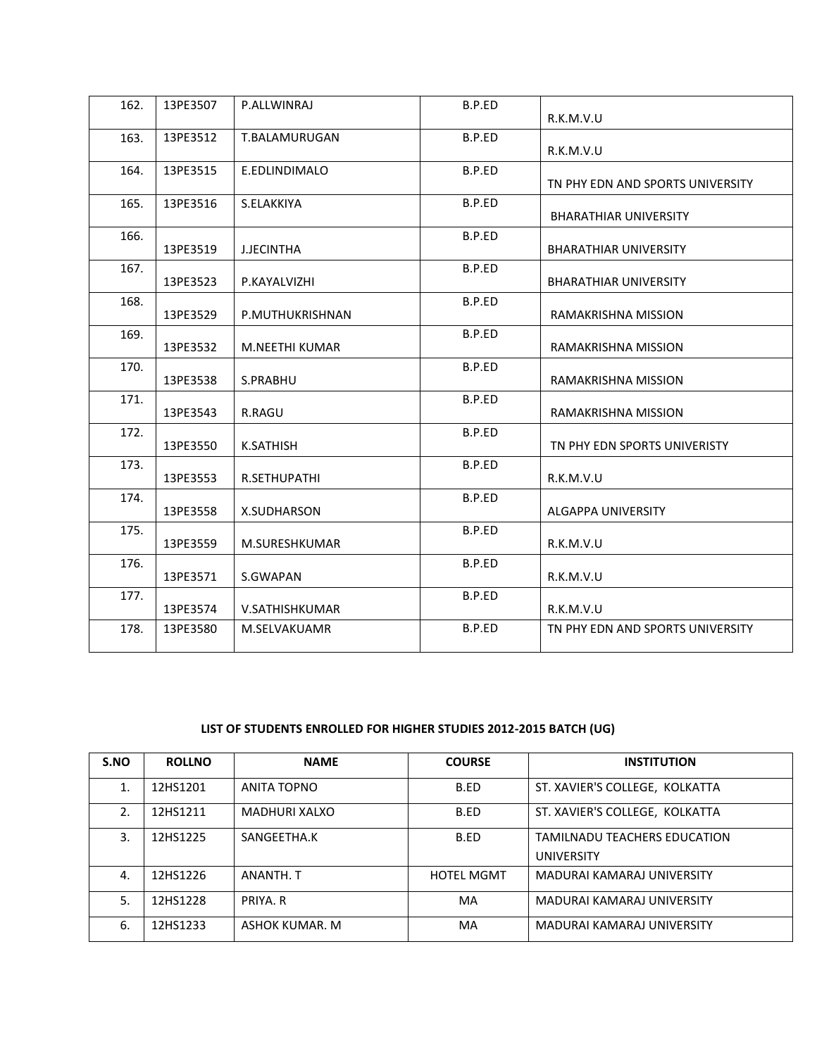| 13PE3507 | P.ALLWINRAJ       | B.P.ED | R.K.M.V.U                        |
|----------|-------------------|--------|----------------------------------|
| 13PE3512 | T.BALAMURUGAN     | B.P.ED | R.K.M.V.U                        |
| 13PE3515 | E.EDLINDIMALO     | B.P.ED | TN PHY EDN AND SPORTS UNIVERSITY |
| 13PE3516 | S.ELAKKIYA        | B.P.ED | <b>BHARATHIAR UNIVERSITY</b>     |
| 13PE3519 | <b>J.JECINTHA</b> | B.P.ED | <b>BHARATHIAR UNIVERSITY</b>     |
| 13PE3523 | P.KAYALVIZHI      | B.P.ED | <b>BHARATHIAR UNIVERSITY</b>     |
| 13PE3529 | P.MUTHUKRISHNAN   | B.P.ED | RAMAKRISHNA MISSION              |
| 13PE3532 | M.NEETHI KUMAR    | B.P.ED | RAMAKRISHNA MISSION              |
| 13PE3538 | S.PRABHU          | B.P.ED | RAMAKRISHNA MISSION              |
| 13PE3543 | R.RAGU            | B.P.ED | RAMAKRISHNA MISSION              |
| 13PE3550 | <b>K.SATHISH</b>  | B.P.ED | TN PHY EDN SPORTS UNIVERISTY     |
| 13PE3553 | R.SETHUPATHI      | B.P.ED | R.K.M.V.U                        |
| 13PE3558 | X.SUDHARSON       | B.P.ED | ALGAPPA UNIVERSITY               |
| 13PE3559 | M.SURESHKUMAR     | B.P.ED | R.K.M.V.U                        |
| 13PE3571 | S.GWAPAN          | B.P.ED | R.K.M.V.U                        |
| 13PE3574 | V.SATHISHKUMAR    | B.P.ED | R.K.M.V.U                        |
| 13PE3580 | M.SELVAKUAMR      | B.P.ED | TN PHY EDN AND SPORTS UNIVERSITY |
|          |                   |        |                                  |

# **LIST OF STUDENTS ENROLLED FOR HIGHER STUDIES 2012-2015 BATCH (UG)**

| S.NO | <b>ROLLNO</b> | <b>NAME</b>        | <b>COURSE</b>     | <b>INSTITUTION</b>                  |
|------|---------------|--------------------|-------------------|-------------------------------------|
| 1.   | 12HS1201      | <b>ANITA TOPNO</b> | B.ED              | ST. XAVIER'S COLLEGE, KOLKATTA      |
| 2.   | 12HS1211      | MADHURI XALXO      | B.ED              | ST. XAVIER'S COLLEGE, KOLKATTA      |
| 3.   | 12HS1225      | SANGEETHA.K        | B.ED              | <b>TAMILNADU TEACHERS EDUCATION</b> |
|      |               |                    |                   | <b>UNIVERSITY</b>                   |
| 4.   | 12HS1226      | ANANTH, T          | <b>HOTEL MGMT</b> | MADURAI KAMARAJ UNIVERSITY          |
| 5.   | 12HS1228      | PRIYA, R           | MA                | MADURAI KAMARAJ UNIVERSITY          |
| 6.   | 12HS1233      | ASHOK KUMAR. M     | MA                | MADURAI KAMARAJ UNIVERSITY          |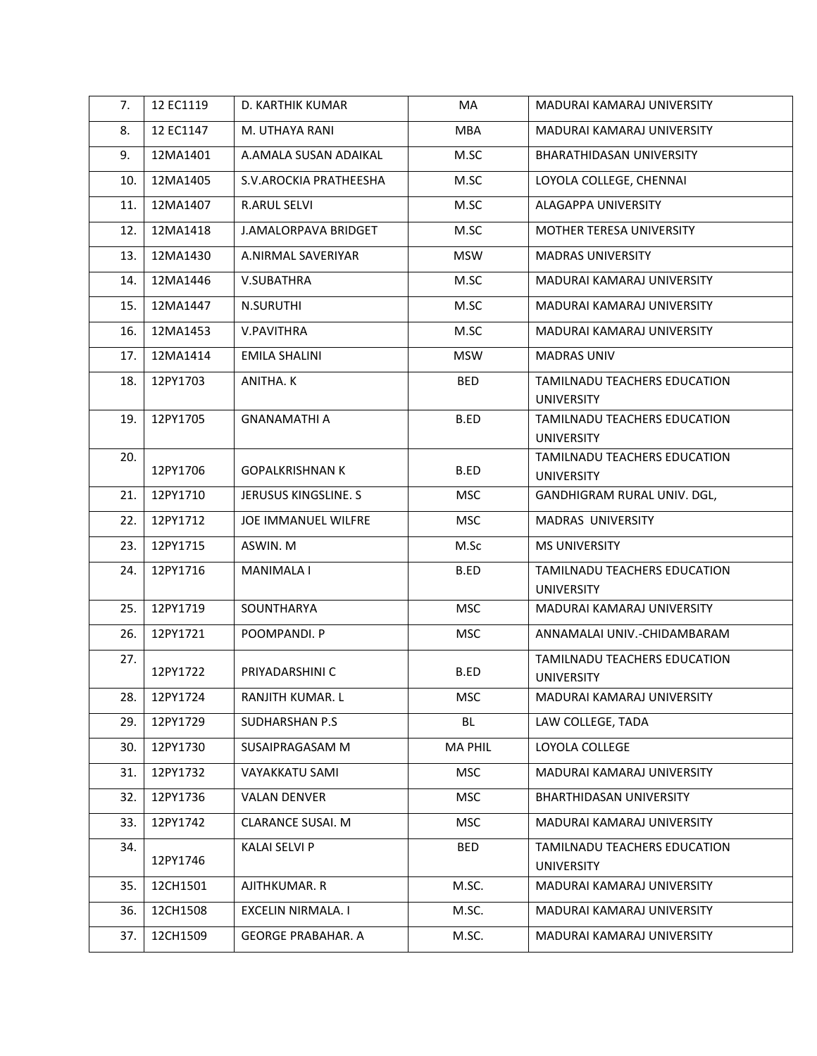| 7.  | 12 EC1119 | D. KARTHIK KUMAR            | MA             | MADURAI KAMARAJ UNIVERSITY                               |
|-----|-----------|-----------------------------|----------------|----------------------------------------------------------|
| 8.  | 12 EC1147 | M. UTHAYA RANI              | <b>MBA</b>     | MADURAI KAMARAJ UNIVERSITY                               |
| 9.  | 12MA1401  | A.AMALA SUSAN ADAIKAL       | M.SC           | <b>BHARATHIDASAN UNIVERSITY</b>                          |
| 10. | 12MA1405  | S.V.AROCKIA PRATHEESHA      | M.SC           | LOYOLA COLLEGE, CHENNAI                                  |
| 11. | 12MA1407  | R.ARUL SELVI                | M.SC           | ALAGAPPA UNIVERSITY                                      |
| 12. | 12MA1418  | J.AMALORPAVA BRIDGET        | M.SC           | MOTHER TERESA UNIVERSITY                                 |
| 13. | 12MA1430  | A.NIRMAL SAVERIYAR          | <b>MSW</b>     | <b>MADRAS UNIVERSITY</b>                                 |
| 14. | 12MA1446  | V.SUBATHRA                  | M.SC           | MADURAI KAMARAJ UNIVERSITY                               |
| 15. | 12MA1447  | <b>N.SURUTHI</b>            | M.SC           | MADURAI KAMARAJ UNIVERSITY                               |
| 16. | 12MA1453  | V.PAVITHRA                  | M.SC           | MADURAI KAMARAJ UNIVERSITY                               |
| 17. | 12MA1414  | <b>EMILA SHALINI</b>        | <b>MSW</b>     | <b>MADRAS UNIV</b>                                       |
| 18. | 12PY1703  | ANITHA. K                   | <b>BED</b>     | <b>TAMILNADU TEACHERS EDUCATION</b><br><b>UNIVERSITY</b> |
| 19. | 12PY1705  | <b>GNANAMATHI A</b>         | B.ED           | <b>TAMILNADU TEACHERS EDUCATION</b><br><b>UNIVERSITY</b> |
| 20. | 12PY1706  | <b>GOPALKRISHNAN K</b>      | B.ED           | TAMILNADU TEACHERS EDUCATION<br><b>UNIVERSITY</b>        |
| 21. | 12PY1710  | <b>JERUSUS KINGSLINE, S</b> | <b>MSC</b>     | GANDHIGRAM RURAL UNIV. DGL,                              |
| 22. | 12PY1712  | JOE IMMANUEL WILFRE         | <b>MSC</b>     | <b>MADRAS UNIVERSITY</b>                                 |
| 23. | 12PY1715  | ASWIN. M                    | M.Sc           | <b>MS UNIVERSITY</b>                                     |
| 24. | 12PY1716  | MANIMALA I                  | B.ED           | TAMILNADU TEACHERS EDUCATION<br><b>UNIVERSITY</b>        |
| 25. | 12PY1719  | SOUNTHARYA                  | <b>MSC</b>     | MADURAI KAMARAJ UNIVERSITY                               |
| 26. | 12PY1721  | POOMPANDI. P                | <b>MSC</b>     | ANNAMALAI UNIV.-CHIDAMBARAM                              |
| 27. | 12PY1722  | PRIYADARSHINI C             | B.ED           | <b>TAMILNADU TEACHERS EDUCATION</b><br><b>UNIVERSITY</b> |
| 28. | 12PY1724  | RANJITH KUMAR. L            | MSC            | MADURAI KAMARAJ UNIVERSITY                               |
| 29. | 12PY1729  | SUDHARSHAN P.S              | BL.            | LAW COLLEGE, TADA                                        |
| 30. | 12PY1730  | SUSAIPRAGASAM M             | <b>MA PHIL</b> | LOYOLA COLLEGE                                           |
| 31. | 12PY1732  | <b>VAYAKKATU SAMI</b>       | <b>MSC</b>     | MADURAI KAMARAJ UNIVERSITY                               |
| 32. | 12PY1736  | <b>VALAN DENVER</b>         | <b>MSC</b>     | BHARTHIDASAN UNIVERSITY                                  |
| 33. | 12PY1742  | <b>CLARANCE SUSAI. M</b>    | <b>MSC</b>     | MADURAI KAMARAJ UNIVERSITY                               |
| 34. | 12PY1746  | KALAI SELVI P               | <b>BED</b>     | TAMILNADU TEACHERS EDUCATION<br><b>UNIVERSITY</b>        |
| 35. | 12CH1501  | AJITHKUMAR. R               | M.SC.          | MADURAI KAMARAJ UNIVERSITY                               |
| 36. | 12CH1508  | EXCELIN NIRMALA. I          | M.SC.          | MADURAI KAMARAJ UNIVERSITY                               |
| 37. | 12CH1509  | <b>GEORGE PRABAHAR. A</b>   | M.SC.          | MADURAI KAMARAJ UNIVERSITY                               |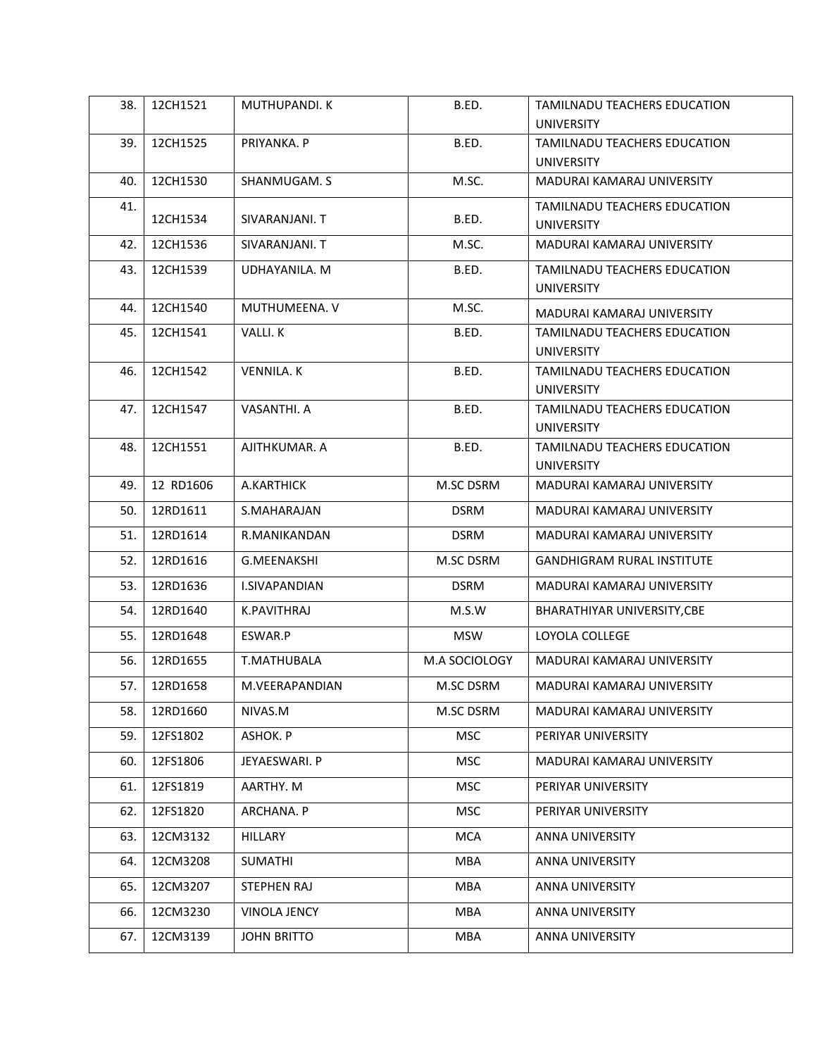| 38. | 12CH1521  | MUTHUPANDI. K        | B.ED.         | TAMILNADU TEACHERS EDUCATION                             |
|-----|-----------|----------------------|---------------|----------------------------------------------------------|
|     |           | PRIYANKA, P          |               | <b>UNIVERSITY</b><br><b>TAMILNADU TEACHERS EDUCATION</b> |
| 39. | 12CH1525  |                      | B.ED.         | <b>UNIVERSITY</b>                                        |
| 40. | 12CH1530  | SHANMUGAM. S         | M.SC.         | MADURAI KAMARAJ UNIVERSITY                               |
| 41. | 12CH1534  | SIVARANJANI. T       | B.ED.         | TAMILNADU TEACHERS EDUCATION<br><b>UNIVERSITY</b>        |
| 42. | 12CH1536  | SIVARANJANI. T       | M.SC.         | MADURAI KAMARAJ UNIVERSITY                               |
| 43. | 12CH1539  | UDHAYANILA, M        | B.ED.         | TAMILNADU TEACHERS EDUCATION<br><b>UNIVERSITY</b>        |
| 44. | 12CH1540  | MUTHUMEENA, V        | M.SC.         | MADURAI KAMARAJ UNIVERSITY                               |
| 45. | 12CH1541  | VALLI. K             | B.ED.         | TAMILNADU TEACHERS EDUCATION<br><b>UNIVERSITY</b>        |
| 46. | 12CH1542  | <b>VENNILA, K</b>    | B.ED.         | TAMILNADU TEACHERS EDUCATION<br><b>UNIVERSITY</b>        |
| 47. | 12CH1547  | <b>VASANTHI, A</b>   | B.ED.         | TAMILNADU TEACHERS EDUCATION<br><b>UNIVERSITY</b>        |
| 48. | 12CH1551  | AJITHKUMAR. A        | B.ED.         | TAMILNADU TEACHERS EDUCATION<br><b>UNIVERSITY</b>        |
| 49. | 12 RD1606 | A.KARTHICK           | M.SC DSRM     | MADURAI KAMARAJ UNIVERSITY                               |
| 50. | 12RD1611  | S.MAHARAJAN          | <b>DSRM</b>   | MADURAI KAMARAJ UNIVERSITY                               |
| 51. | 12RD1614  | R.MANIKANDAN         | <b>DSRM</b>   | MADURAI KAMARAJ UNIVERSITY                               |
| 52. | 12RD1616  | G.MEENAKSHI          | M.SC DSRM     | <b>GANDHIGRAM RURAL INSTITUTE</b>                        |
| 53. | 12RD1636  | <b>I.SIVAPANDIAN</b> | <b>DSRM</b>   | MADURAI KAMARAJ UNIVERSITY                               |
| 54. | 12RD1640  | K.PAVITHRAJ          | M.S.W         | BHARATHIYAR UNIVERSITY, CBE                              |
| 55. | 12RD1648  | ESWAR.P              | <b>MSW</b>    | LOYOLA COLLEGE                                           |
| 56. | 12RD1655  | T.MATHUBALA          | M.A SOCIOLOGY | MADURAI KAMARAJ UNIVERSITY                               |
| 57. | 12RD1658  | M.VEERAPANDIAN       | M.SC DSRM     | MADURAI KAMARAJ UNIVERSITY                               |
| 58. | 12RD1660  | NIVAS.M              | M.SC DSRM     | MADURAI KAMARAJ UNIVERSITY                               |
| 59. | 12FS1802  | ASHOK. P             | <b>MSC</b>    | PERIYAR UNIVERSITY                                       |
| 60. | 12FS1806  | JEYAESWARI. P        | <b>MSC</b>    | MADURAI KAMARAJ UNIVERSITY                               |
| 61. | 12FS1819  | AARTHY. M            | <b>MSC</b>    | PERIYAR UNIVERSITY                                       |
| 62. | 12FS1820  | ARCHANA. P           | <b>MSC</b>    | PERIYAR UNIVERSITY                                       |
| 63. | 12CM3132  | <b>HILLARY</b>       | <b>MCA</b>    | ANNA UNIVERSITY                                          |
| 64. | 12CM3208  | <b>SUMATHI</b>       | MBA           | ANNA UNIVERSITY                                          |
| 65. | 12CM3207  | STEPHEN RAJ          | MBA           | <b>ANNA UNIVERSITY</b>                                   |
| 66. | 12CM3230  | <b>VINOLA JENCY</b>  | MBA           | <b>ANNA UNIVERSITY</b>                                   |
| 67. | 12CM3139  | <b>JOHN BRITTO</b>   | MBA           | ANNA UNIVERSITY                                          |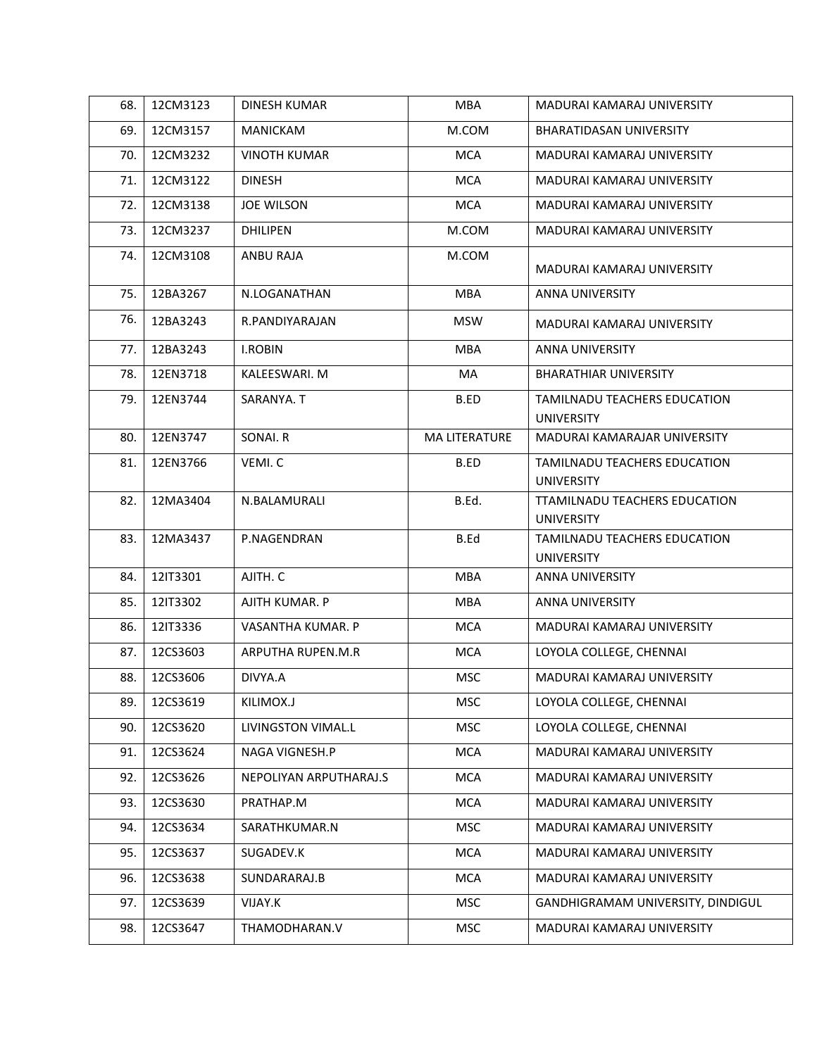| 68. | 12CM3123 | <b>DINESH KUMAR</b>    | <b>MBA</b>           | MADURAI KAMARAJ UNIVERSITY                               |
|-----|----------|------------------------|----------------------|----------------------------------------------------------|
| 69. | 12CM3157 | MANICKAM               | M.COM                | <b>BHARATIDASAN UNIVERSITY</b>                           |
| 70. | 12CM3232 | <b>VINOTH KUMAR</b>    | <b>MCA</b>           | MADURAI KAMARAJ UNIVERSITY                               |
| 71. | 12CM3122 | <b>DINESH</b>          | <b>MCA</b>           | MADURAI KAMARAJ UNIVERSITY                               |
| 72. | 12CM3138 | <b>JOE WILSON</b>      | <b>MCA</b>           | MADURAI KAMARAJ UNIVERSITY                               |
| 73. | 12CM3237 | <b>DHILIPEN</b>        | M.COM                | MADURAI KAMARAJ UNIVERSITY                               |
| 74. | 12CM3108 | ANBU RAJA              | M.COM                | MADURAI KAMARAJ UNIVERSITY                               |
| 75. | 12BA3267 | N.LOGANATHAN           | <b>MBA</b>           | ANNA UNIVERSITY                                          |
| 76. | 12BA3243 | R.PANDIYARAJAN         | <b>MSW</b>           | MADURAI KAMARAJ UNIVERSITY                               |
| 77. | 12BA3243 | <b>I.ROBIN</b>         | <b>MBA</b>           | ANNA UNIVERSITY                                          |
| 78. | 12EN3718 | KALEESWARI. M          | MA                   | <b>BHARATHIAR UNIVERSITY</b>                             |
| 79. | 12EN3744 | SARANYA. T             | B.ED                 | TAMILNADU TEACHERS EDUCATION<br><b>UNIVERSITY</b>        |
| 80. | 12EN3747 | SONAI. R               | <b>MA LITERATURE</b> | MADURAI KAMARAJAR UNIVERSITY                             |
| 81. | 12EN3766 | VEMI. C                | B.ED                 | TAMILNADU TEACHERS EDUCATION<br><b>UNIVERSITY</b>        |
| 82. | 12MA3404 | N.BALAMURALI           | B.Ed.                | TTAMILNADU TEACHERS EDUCATION<br><b>UNIVERSITY</b>       |
| 83. | 12MA3437 | P.NAGENDRAN            | B.Ed                 | <b>TAMILNADU TEACHERS EDUCATION</b><br><b>UNIVERSITY</b> |
| 84. | 12IT3301 | AJITH. C               | <b>MBA</b>           | ANNA UNIVERSITY                                          |
| 85. | 12IT3302 | AJITH KUMAR. P         | <b>MBA</b>           | ANNA UNIVERSITY                                          |
| 86. | 12IT3336 | VASANTHA KUMAR. P      | <b>MCA</b>           | MADURAI KAMARAJ UNIVERSITY                               |
| 87. | 12CS3603 | ARPUTHA RUPEN.M.R      | <b>MCA</b>           | LOYOLA COLLEGE, CHENNAI                                  |
| 88. | 12CS3606 | DIVYA.A                | <b>MSC</b>           | MADURAI KAMARAJ UNIVERSITY                               |
| 89. | 12CS3619 | KILIMOX.J              | <b>MSC</b>           | LOYOLA COLLEGE, CHENNAI                                  |
| 90. | 12CS3620 | LIVINGSTON VIMAL.L     | <b>MSC</b>           | LOYOLA COLLEGE, CHENNAI                                  |
| 91. | 12CS3624 | NAGA VIGNESH.P         | <b>MCA</b>           | MADURAI KAMARAJ UNIVERSITY                               |
| 92. | 12CS3626 | NEPOLIYAN ARPUTHARAJ.S | <b>MCA</b>           | MADURAI KAMARAJ UNIVERSITY                               |
| 93. | 12CS3630 | PRATHAP.M              | <b>MCA</b>           | MADURAI KAMARAJ UNIVERSITY                               |
| 94. | 12CS3634 | SARATHKUMAR.N          | <b>MSC</b>           | MADURAI KAMARAJ UNIVERSITY                               |
| 95. | 12CS3637 | SUGADEV.K              | <b>MCA</b>           | MADURAI KAMARAJ UNIVERSITY                               |
| 96. | 12CS3638 | SUNDARARAJ.B           | <b>MCA</b>           | MADURAI KAMARAJ UNIVERSITY                               |
| 97. | 12CS3639 | VIJAY.K                | <b>MSC</b>           | GANDHIGRAMAM UNIVERSITY, DINDIGUL                        |
| 98. | 12CS3647 | THAMODHARAN.V          | <b>MSC</b>           | MADURAI KAMARAJ UNIVERSITY                               |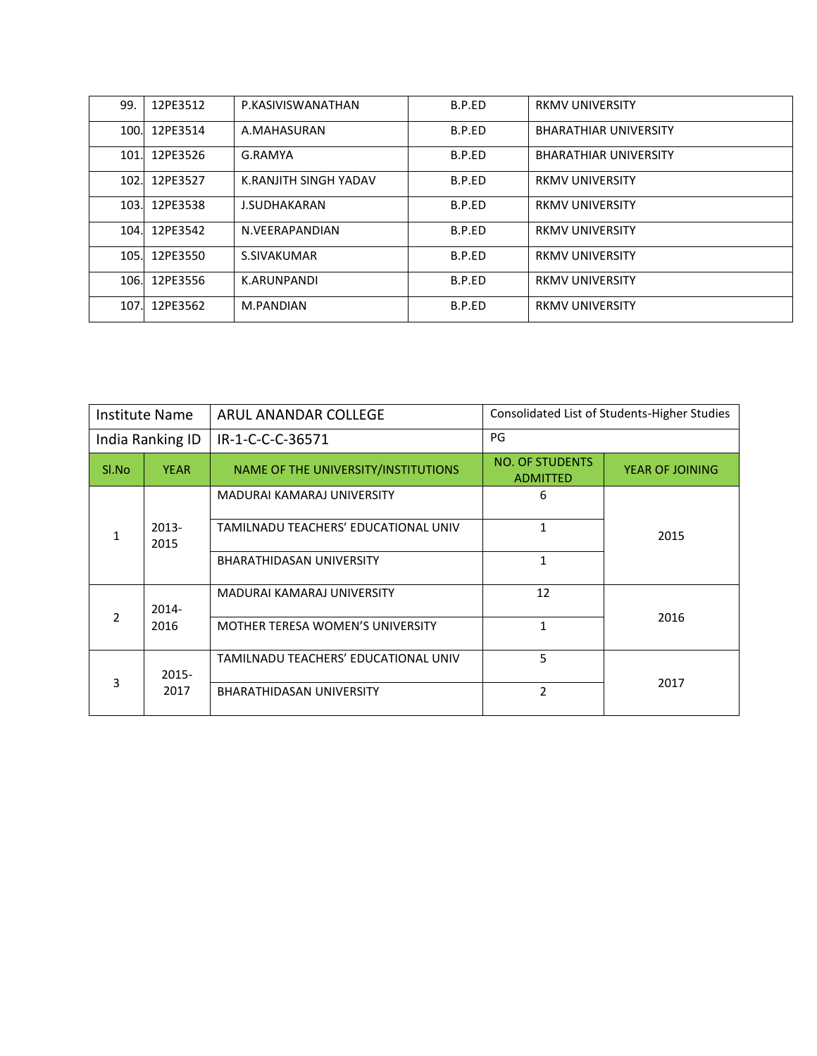| 99.  | 12PE3512 | P.KASIVISWANATHAN     | B.P.ED | <b>RKMV UNIVERSITY</b>       |
|------|----------|-----------------------|--------|------------------------------|
| 100. | 12PE3514 | A.MAHASURAN           | B.P.ED | <b>BHARATHIAR UNIVERSITY</b> |
| 101. | 12PE3526 | G.RAMYA               | B.P.ED | <b>BHARATHIAR UNIVERSITY</b> |
| 102. | 12PE3527 | K.RANJITH SINGH YADAV | B.P.ED | <b>RKMV UNIVERSITY</b>       |
| 103. | 12PE3538 | <b>J.SUDHAKARAN</b>   | B.P.ED | <b>RKMV UNIVERSITY</b>       |
| 104. | 12PE3542 | N.VEERAPANDIAN        | B.P.ED | <b>RKMV UNIVERSITY</b>       |
| 105. | 12PE3550 | S.SIVAKUMAR           | B.P.ED | <b>RKMV UNIVERSITY</b>       |
| 106. | 12PE3556 | K.ARUNPANDI           | B.P.ED | <b>RKMV UNIVERSITY</b>       |
| 107. | 12PE3562 | M.PANDIAN             | B.P.ED | <b>RKMV UNIVERSITY</b>       |

| Institute Name<br>ARUL ANANDAR COLLEGE |                  |                                      | Consolidated List of Students-Higher Studies |                 |
|----------------------------------------|------------------|--------------------------------------|----------------------------------------------|-----------------|
|                                        | India Ranking ID | IR-1-C-C-C-36571                     | PG                                           |                 |
| Sl.No                                  | <b>YEAR</b>      | NAME OF THE UNIVERSITY/INSTITUTIONS  | <b>NO. OF STUDENTS</b><br><b>ADMITTED</b>    | YEAR OF JOINING |
|                                        |                  | MADURAI KAMARAJ UNIVERSITY           | 6                                            |                 |
| $\mathbf{1}$                           | $2013 -$<br>2015 | TAMILNADU TEACHERS' EDUCATIONAL UNIV | 1                                            | 2015            |
|                                        |                  | <b>BHARATHIDASAN UNIVERSITY</b>      | 1                                            |                 |
| $\mathfrak{p}$                         | 2014-            | MADURAI KAMARAJ UNIVERSITY           | 12                                           | 2016            |
| 2016                                   |                  | MOTHER TERESA WOMEN'S UNIVERSITY     | 1                                            |                 |
| 3                                      | 2015-            | TAMILNADU TEACHERS' EDUCATIONAL UNIV | 5                                            |                 |
|                                        | 2017             | <b>BHARATHIDASAN UNIVERSITY</b>      | $\overline{2}$                               | 2017            |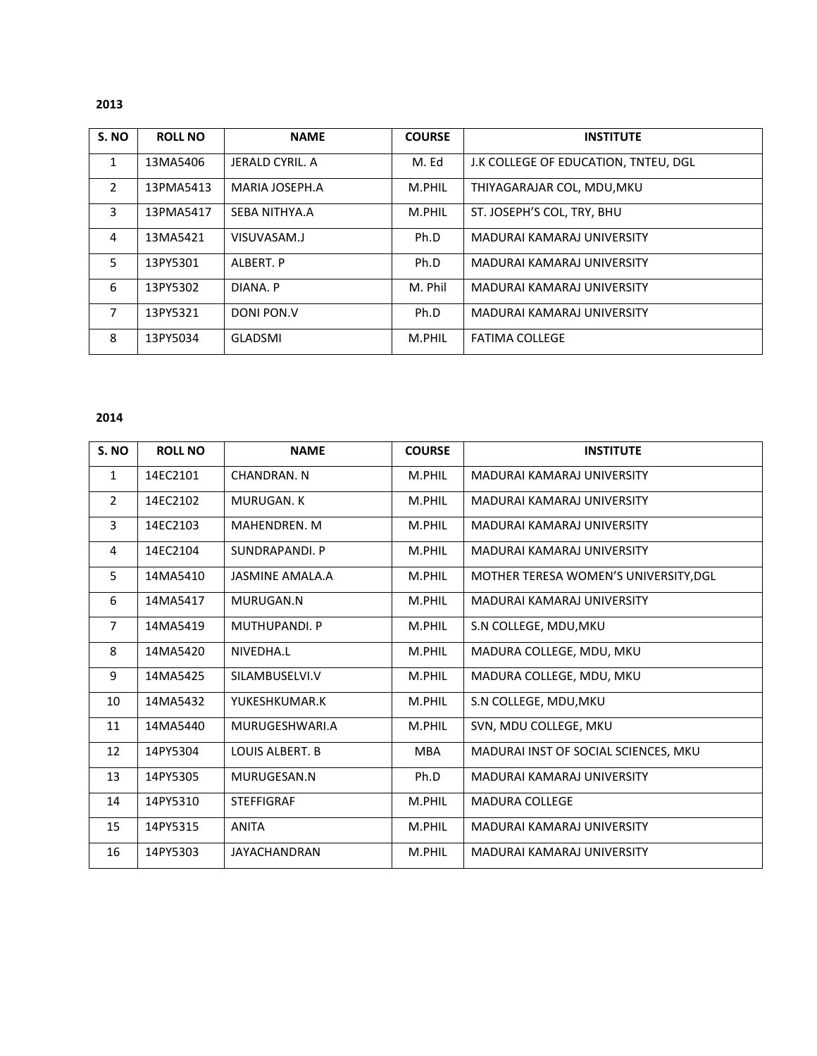| S. NO          | <b>ROLL NO</b> | <b>NAME</b>       | <b>COURSE</b> | <b>INSTITUTE</b>                     |
|----------------|----------------|-------------------|---------------|--------------------------------------|
| $\mathbf{1}$   | 13MA5406       | JERALD CYRIL, A   | M. Ed         | J.K COLLEGE OF EDUCATION, TNTEU, DGL |
| $\overline{2}$ | 13PMA5413      | MARIA JOSEPH.A    | M.PHIL        | THIYAGARAJAR COL, MDU, MKU           |
| 3              | 13PMA5417      | SEBA NITHYA.A     | M.PHIL        | ST. JOSEPH'S COL. TRY. BHU           |
| 4              | 13MA5421       | VISUVASAM.J       | Ph.D          | MADURAI KAMARAJ UNIVERSITY           |
| 5              | 13PY5301       | ALBERT. P         | Ph.D          | MADURAI KAMARAJ UNIVERSITY           |
| 6              | 13PY5302       | DIANA, P          | M. Phil       | MADURAI KAMARAJ UNIVERSITY           |
| $\overline{7}$ | 13PY5321       | <b>DONI PON.V</b> | Ph.D          | MADURAI KAMARAJ UNIVERSITY           |
| 8              | 13PY5034       | <b>GLADSMI</b>    | M.PHIL        | <b>FATIMA COLLEGE</b>                |

#### 

| S. NO          | <b>ROLL NO</b> | <b>NAME</b>            | <b>COURSE</b> | <b>INSTITUTE</b>                      |
|----------------|----------------|------------------------|---------------|---------------------------------------|
| $\mathbf{1}$   | 14EC2101       | CHANDRAN, N            | M.PHIL        | <b>MADURAI KAMARAJ UNIVERSITY</b>     |
| $\overline{2}$ | 14EC2102       | MURUGAN, K             | M.PHIL        | <b>MADURAI KAMARAJ UNIVERSITY</b>     |
| 3              | 14EC2103       | MAHENDREN. M           | M.PHIL        | <b>MADURAI KAMARAJ UNIVERSITY</b>     |
| 4              | 14EC2104       | SUNDRAPANDI, P         | M.PHIL        | <b>MADURAI KAMARAJ UNIVERSITY</b>     |
| 5              | 14MA5410       | <b>JASMINE AMALA.A</b> | M.PHIL        | MOTHER TERESA WOMEN'S UNIVERSITY, DGL |
| 6              | 14MA5417       | MURUGAN.N              | M.PHIL        | <b>MADURAI KAMARAJ UNIVERSITY</b>     |
| $\overline{7}$ | 14MA5419       | <b>MUTHUPANDI, P</b>   | M.PHIL        | S.N COLLEGE, MDU, MKU                 |
| 8              | 14MA5420       | NIVEDHA.L              | M.PHIL        | MADURA COLLEGE, MDU, MKU              |
| 9              | 14MA5425       | SILAMBUSELVI.V         | M.PHIL        | MADURA COLLEGE, MDU, MKU              |
| 10             | 14MA5432       | YUKESHKUMAR.K          | M.PHIL        | S.N COLLEGE, MDU, MKU                 |
| 11             | 14MA5440       | MURUGESHWARI.A         | M.PHIL        | SVN, MDU COLLEGE, MKU                 |
| 12             | 14PY5304       | <b>LOUIS ALBERT. B</b> | <b>MBA</b>    | MADURAI INST OF SOCIAL SCIENCES, MKU  |
| 13             | 14PY5305       | MURUGESAN.N            | Ph.D          | <b>MADURAI KAMARAJ UNIVERSITY</b>     |
| 14             | 14PY5310       | <b>STEFFIGRAF</b>      | M.PHIL        | <b>MADURA COLLEGE</b>                 |
| 15             | 14PY5315       | <b>ANITA</b>           | M.PHIL        | <b>MADURAI KAMARAJ UNIVERSITY</b>     |
| 16             | 14PY5303       | <b>JAYACHANDRAN</b>    | M.PHIL        | MADURAI KAMARAJ UNIVERSITY            |